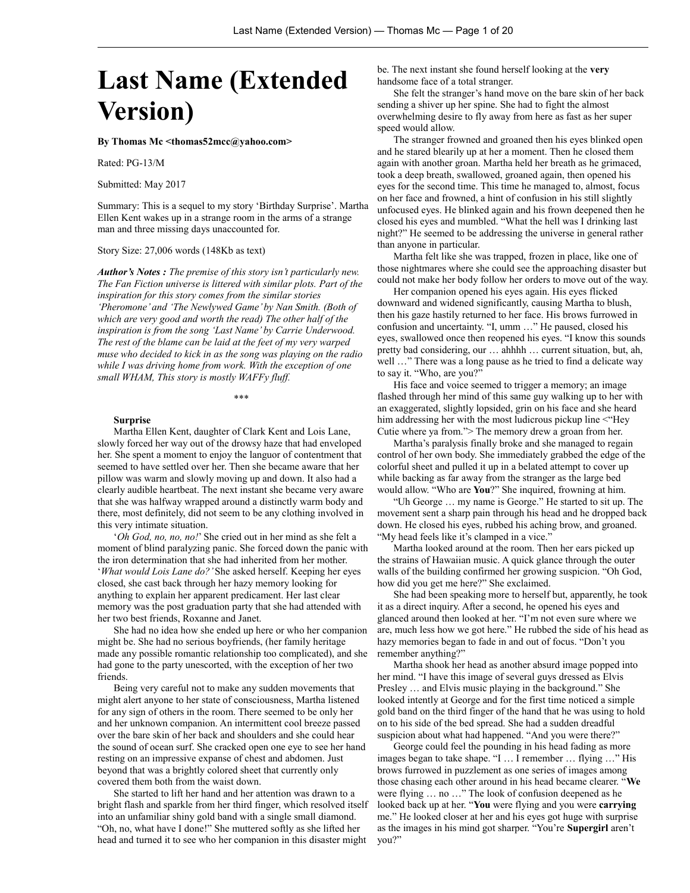# **Last Name (Extended Version)**

**By Thomas Mc <thomas52mcc@yahoo.com>**

Rated: PG-13/M

Submitted: May 2017

Summary: This is a sequel to my story 'Birthday Surprise'. Martha Ellen Kent wakes up in a strange room in the arms of a strange man and three missing days unaccounted for.

Story Size: 27,006 words (148Kb as text)

*Author's Notes : The premise of this story isn't particularly new. The Fan Fiction universe is littered with similar plots. Part of the inspiration for this story comes from the similar stories 'Pheromone' and 'The Newlywed Game' by Nan Smith. (Both of which are very good and worth the read) The other half of the inspiration is from the song 'Last Name' by Carrie Underwood. The rest of the blame can be laid at the feet of my very warped muse who decided to kick in as the song was playing on the radio while I was driving home from work. With the exception of one small WHAM, This story is mostly WAFFy fluff.*

\*\*\*

## **Surprise**

Martha Ellen Kent, daughter of Clark Kent and Lois Lane, slowly forced her way out of the drowsy haze that had enveloped her. She spent a moment to enjoy the languor of contentment that seemed to have settled over her. Then she became aware that her pillow was warm and slowly moving up and down. It also had a clearly audible heartbeat. The next instant she became very aware that she was halfway wrapped around a distinctly warm body and there, most definitely, did not seem to be any clothing involved in this very intimate situation.

'*Oh God, no, no, no!*' She cried out in her mind as she felt a moment of blind paralyzing panic. She forced down the panic with the iron determination that she had inherited from her mother. '*What would Lois Lane do?'* She asked herself. Keeping her eyes closed, she cast back through her hazy memory looking for anything to explain her apparent predicament. Her last clear memory was the post graduation party that she had attended with her two best friends, Roxanne and Janet.

She had no idea how she ended up here or who her companion might be. She had no serious boyfriends, (her family heritage made any possible romantic relationship too complicated), and she had gone to the party unescorted, with the exception of her two friends.

Being very careful not to make any sudden movements that might alert anyone to her state of consciousness, Martha listened for any sign of others in the room. There seemed to be only her and her unknown companion. An intermittent cool breeze passed over the bare skin of her back and shoulders and she could hear the sound of ocean surf. She cracked open one eye to see her hand resting on an impressive expanse of chest and abdomen. Just beyond that was a brightly colored sheet that currently only covered them both from the waist down.

She started to lift her hand and her attention was drawn to a bright flash and sparkle from her third finger, which resolved itself into an unfamiliar shiny gold band with a single small diamond. "Oh, no, what have I done!" She muttered softly as she lifted her head and turned it to see who her companion in this disaster might

be. The next instant she found herself looking at the **very** handsome face of a total stranger.

She felt the stranger's hand move on the bare skin of her back sending a shiver up her spine. She had to fight the almost overwhelming desire to fly away from here as fast as her super speed would allow.

The stranger frowned and groaned then his eyes blinked open and he stared blearily up at her a moment. Then he closed them again with another groan. Martha held her breath as he grimaced, took a deep breath, swallowed, groaned again, then opened his eyes for the second time. This time he managed to, almost, focus on her face and frowned, a hint of confusion in his still slightly unfocused eyes. He blinked again and his frown deepened then he closed his eyes and mumbled. "What the hell was I drinking last night?" He seemed to be addressing the universe in general rather than anyone in particular.

Martha felt like she was trapped, frozen in place, like one of those nightmares where she could see the approaching disaster but could not make her body follow her orders to move out of the way.

Her companion opened his eyes again. His eyes flicked downward and widened significantly, causing Martha to blush, then his gaze hastily returned to her face. His brows furrowed in confusion and uncertainty. "I, umm …" He paused, closed his eyes, swallowed once then reopened his eyes. "I know this sounds pretty bad considering, our … ahhhh … current situation, but, ah, well ..." There was a long pause as he tried to find a delicate way to say it. "Who, are you?"

His face and voice seemed to trigger a memory; an image flashed through her mind of this same guy walking up to her with an exaggerated, slightly lopsided, grin on his face and she heard him addressing her with the most ludicrous pickup line <"Hey Cutie where ya from."> The memory drew a groan from her.

Martha's paralysis finally broke and she managed to regain control of her own body. She immediately grabbed the edge of the colorful sheet and pulled it up in a belated attempt to cover up while backing as far away from the stranger as the large bed would allow. "Who are **You**?" She inquired, frowning at him.

"Uh George … my name is George." He started to sit up. The movement sent a sharp pain through his head and he dropped back down. He closed his eyes, rubbed his aching brow, and groaned. "My head feels like it's clamped in a vice."

Martha looked around at the room. Then her ears picked up the strains of Hawaiian music. A quick glance through the outer walls of the building confirmed her growing suspicion. "Oh God, how did you get me here?" She exclaimed.

She had been speaking more to herself but, apparently, he took it as a direct inquiry. After a second, he opened his eyes and glanced around then looked at her. "I'm not even sure where we are, much less how we got here." He rubbed the side of his head as hazy memories began to fade in and out of focus. "Don't you remember anything?"

Martha shook her head as another absurd image popped into her mind. "I have this image of several guys dressed as Elvis Presley … and Elvis music playing in the background." She looked intently at George and for the first time noticed a simple gold band on the third finger of the hand that he was using to hold on to his side of the bed spread. She had a sudden dreadful suspicion about what had happened. "And you were there?"

George could feel the pounding in his head fading as more images began to take shape. "I … I remember … flying …" His brows furrowed in puzzlement as one series of images among those chasing each other around in his head became clearer. "**We** were flying … no …" The look of confusion deepened as he looked back up at her. "**You** were flying and you were **carrying** me." He looked closer at her and his eyes got huge with surprise as the images in his mind got sharper. "You're **Supergirl** aren't you?"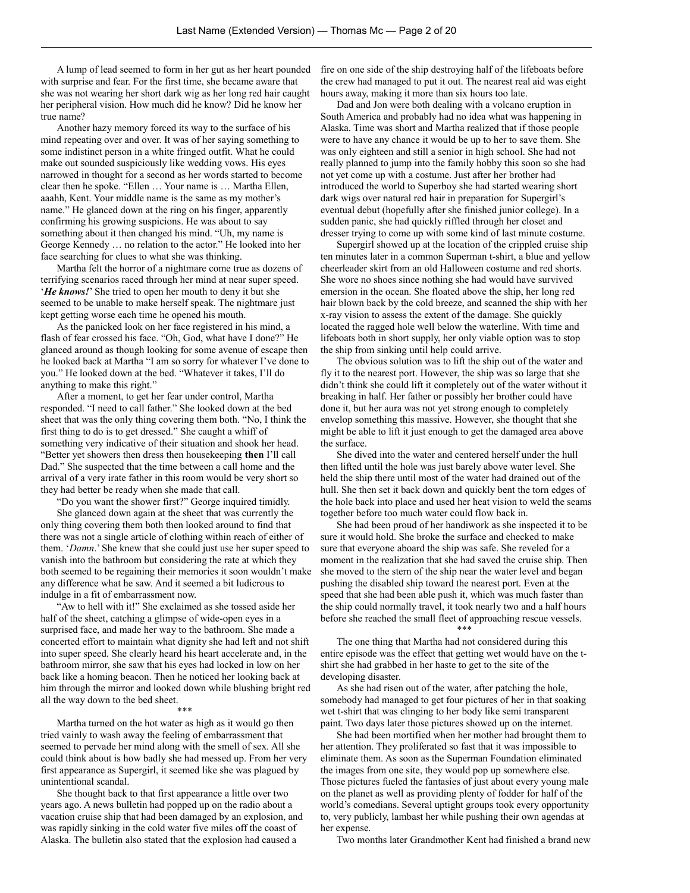A lump of lead seemed to form in her gut as her heart pounded with surprise and fear. For the first time, she became aware that she was not wearing her short dark wig as her long red hair caught her peripheral vision. How much did he know? Did he know her true name?

Another hazy memory forced its way to the surface of his mind repeating over and over. It was of her saying something to some indistinct person in a white fringed outfit. What he could make out sounded suspiciously like wedding vows. His eyes narrowed in thought for a second as her words started to become clear then he spoke. "Ellen … Your name is … Martha Ellen, aaahh, Kent. Your middle name is the same as my mother's name." He glanced down at the ring on his finger, apparently confirming his growing suspicions. He was about to say something about it then changed his mind. "Uh, my name is George Kennedy … no relation to the actor." He looked into her face searching for clues to what she was thinking.

Martha felt the horror of a nightmare come true as dozens of terrifying scenarios raced through her mind at near super speed. '*He knows!*' She tried to open her mouth to deny it but she seemed to be unable to make herself speak. The nightmare just kept getting worse each time he opened his mouth.

As the panicked look on her face registered in his mind, a flash of fear crossed his face. "Oh, God, what have I done?" He glanced around as though looking for some avenue of escape then he looked back at Martha "I am so sorry for whatever I've done to you." He looked down at the bed. "Whatever it takes, I'll do anything to make this right."

After a moment, to get her fear under control, Martha responded. "I need to call father." She looked down at the bed sheet that was the only thing covering them both. "No, I think the first thing to do is to get dressed." She caught a whiff of something very indicative of their situation and shook her head. "Better yet showers then dress then housekeeping **then** I'll call Dad." She suspected that the time between a call home and the arrival of a very irate father in this room would be very short so they had better be ready when she made that call.

"Do you want the shower first?" George inquired timidly.

She glanced down again at the sheet that was currently the only thing covering them both then looked around to find that there was not a single article of clothing within reach of either of them. '*Damn*.' She knew that she could just use her super speed to vanish into the bathroom but considering the rate at which they both seemed to be regaining their memories it soon wouldn't make any difference what he saw. And it seemed a bit ludicrous to indulge in a fit of embarrassment now.

"Aw to hell with it!" She exclaimed as she tossed aside her half of the sheet, catching a glimpse of wide-open eyes in a surprised face, and made her way to the bathroom. She made a concerted effort to maintain what dignity she had left and not shift into super speed. She clearly heard his heart accelerate and, in the bathroom mirror, she saw that his eyes had locked in low on her back like a homing beacon. Then he noticed her looking back at him through the mirror and looked down while blushing bright red all the way down to the bed sheet.

\*\*\*

Martha turned on the hot water as high as it would go then tried vainly to wash away the feeling of embarrassment that seemed to pervade her mind along with the smell of sex. All she could think about is how badly she had messed up. From her very first appearance as Supergirl, it seemed like she was plagued by unintentional scandal.

She thought back to that first appearance a little over two years ago. A news bulletin had popped up on the radio about a vacation cruise ship that had been damaged by an explosion, and was rapidly sinking in the cold water five miles off the coast of Alaska. The bulletin also stated that the explosion had caused a

fire on one side of the ship destroying half of the lifeboats before the crew had managed to put it out. The nearest real aid was eight hours away, making it more than six hours too late.

Dad and Jon were both dealing with a volcano eruption in South America and probably had no idea what was happening in Alaska. Time was short and Martha realized that if those people were to have any chance it would be up to her to save them. She was only eighteen and still a senior in high school. She had not really planned to jump into the family hobby this soon so she had not yet come up with a costume. Just after her brother had introduced the world to Superboy she had started wearing short dark wigs over natural red hair in preparation for Supergirl's eventual debut (hopefully after she finished junior college). In a sudden panic, she had quickly riffled through her closet and dresser trying to come up with some kind of last minute costume.

Supergirl showed up at the location of the crippled cruise ship ten minutes later in a common Superman t-shirt, a blue and yellow cheerleader skirt from an old Halloween costume and red shorts. She wore no shoes since nothing she had would have survived emersion in the ocean. She floated above the ship, her long red hair blown back by the cold breeze, and scanned the ship with her x-ray vision to assess the extent of the damage. She quickly located the ragged hole well below the waterline. With time and lifeboats both in short supply, her only viable option was to stop the ship from sinking until help could arrive.

The obvious solution was to lift the ship out of the water and fly it to the nearest port. However, the ship was so large that she didn't think she could lift it completely out of the water without it breaking in half. Her father or possibly her brother could have done it, but her aura was not yet strong enough to completely envelop something this massive. However, she thought that she might be able to lift it just enough to get the damaged area above the surface.

She dived into the water and centered herself under the hull then lifted until the hole was just barely above water level. She held the ship there until most of the water had drained out of the hull. She then set it back down and quickly bent the torn edges of the hole back into place and used her heat vision to weld the seams together before too much water could flow back in.

She had been proud of her handiwork as she inspected it to be sure it would hold. She broke the surface and checked to make sure that everyone aboard the ship was safe. She reveled for a moment in the realization that she had saved the cruise ship. Then she moved to the stern of the ship near the water level and began pushing the disabled ship toward the nearest port. Even at the speed that she had been able push it, which was much faster than the ship could normally travel, it took nearly two and a half hours before she reached the small fleet of approaching rescue vessels.

The one thing that Martha had not considered during this entire episode was the effect that getting wet would have on the tshirt she had grabbed in her haste to get to the site of the developing disaster.

\*\*\*

As she had risen out of the water, after patching the hole, somebody had managed to get four pictures of her in that soaking wet t-shirt that was clinging to her body like semi transparent paint. Two days later those pictures showed up on the internet.

She had been mortified when her mother had brought them to her attention. They proliferated so fast that it was impossible to eliminate them. As soon as the Superman Foundation eliminated the images from one site, they would pop up somewhere else. Those pictures fueled the fantasies of just about every young male on the planet as well as providing plenty of fodder for half of the world's comedians. Several uptight groups took every opportunity to, very publicly, lambast her while pushing their own agendas at her expense.

Two months later Grandmother Kent had finished a brand new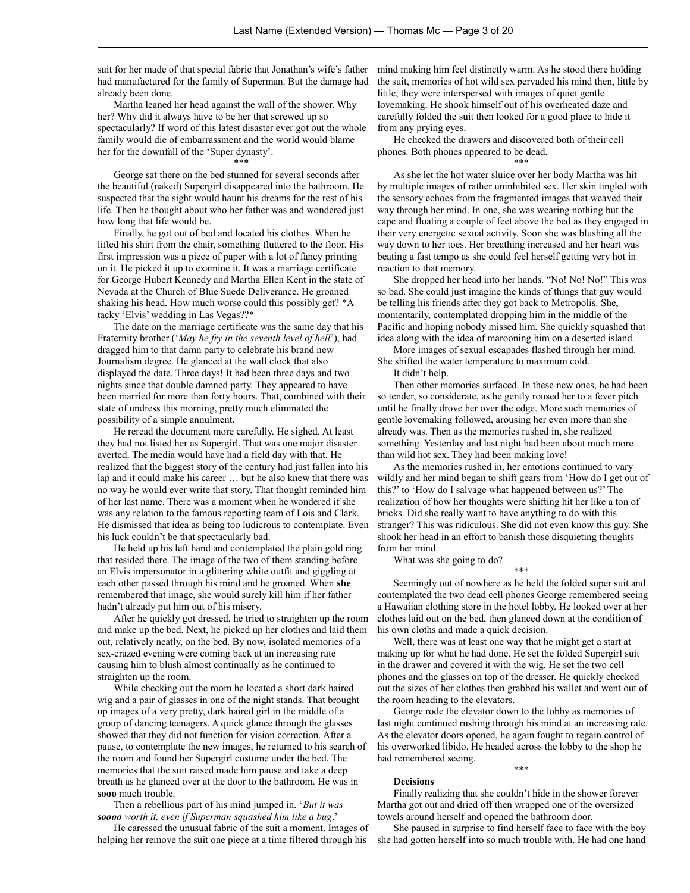suit for her made of that special fabric that Jonathan's wife's father had manufactured for the family of Superman. But the damage had already been done.

Martha leaned her head against the wall of the shower. Why her? Why did it always have to be her that screwed up so spectacularly? If word of this latest disaster ever got out the whole family would die of embarrassment and the world would blame her for the downfall of the 'Super dynasty'.

#### \*\*\*

George sat there on the bed stunned for several seconds after the beautiful (naked) Supergirl disappeared into the bathroom. He suspected that the sight would haunt his dreams for the rest of his life. Then he thought about who her father was and wondered just how long that life would be.

Finally, he got out of bed and located his clothes. When he lifted his shirt from the chair, something fluttered to the floor. His first impression was a piece of paper with a lot of fancy printing on it. He picked it up to examine it. It was a marriage certificate for George Hubert Kennedy and Martha Ellen Kent in the state of Nevada at the Church of Blue Suede Deliverance. He groaned shaking his head. How much worse could this possibly get? \*A tacky 'Elvis' wedding in Las Vegas??\*

The date on the marriage certificate was the same day that his Fraternity brother ('*May he fry in the seventh level of hell*'), had dragged him to that damn party to celebrate his brand new Journalism degree. He glanced at the wall clock that also displayed the date. Three days! It had been three days and two nights since that double damned party. They appeared to have been married for more than forty hours. That, combined with their state of undress this morning, pretty much eliminated the possibility of a simple annulment.

He reread the document more carefully. He sighed. At least they had not listed her as Supergirl. That was one major disaster averted. The media would have had a field day with that. He realized that the biggest story of the century had just fallen into his lap and it could make his career … but he also knew that there was no way he would ever write that story. That thought reminded him of her last name. There was a moment when he wondered if she was any relation to the famous reporting team of Lois and Clark. He dismissed that idea as being too ludicrous to contemplate. Even his luck couldn't be that spectacularly bad.

He held up his left hand and contemplated the plain gold ring that resided there. The image of the two of them standing before an Elvis impersonator in a glittering white outfit and giggling at each other passed through his mind and he groaned. When **she** remembered that image, she would surely kill him if her father hadn't already put him out of his misery.

After he quickly got dressed, he tried to straighten up the room and make up the bed. Next, he picked up her clothes and laid them out, relatively neatly, on the bed. By now, isolated memories of a sex-crazed evening were coming back at an increasing rate causing him to blush almost continually as he continued to straighten up the room.

While checking out the room he located a short dark haired wig and a pair of glasses in one of the night stands. That brought up images of a very pretty, dark haired girl in the middle of a group of dancing teenagers. A quick glance through the glasses showed that they did not function for vision correction. After a pause, to contemplate the new images, he returned to his search of the room and found her Supergirl costume under the bed. The memories that the suit raised made him pause and take a deep breath as he glanced over at the door to the bathroom. He was in **sooo** much trouble.

Then a rebellious part of his mind jumped in. '*But it was soooo worth it, even if Superman squashed him like a bug*.'

He caressed the unusual fabric of the suit a moment. Images of helping her remove the suit one piece at a time filtered through his

mind making him feel distinctly warm. As he stood there holding the suit, memories of hot wild sex pervaded his mind then, little by little, they were interspersed with images of quiet gentle lovemaking. He shook himself out of his overheated daze and carefully folded the suit then looked for a good place to hide it from any prying eyes.

He checked the drawers and discovered both of their cell phones. Both phones appeared to be dead.

\*\*\*

As she let the hot water sluice over her body Martha was hit by multiple images of rather uninhibited sex. Her skin tingled with the sensory echoes from the fragmented images that weaved their way through her mind. In one, she was wearing nothing but the cape and floating a couple of feet above the bed as they engaged in their very energetic sexual activity. Soon she was blushing all the way down to her toes. Her breathing increased and her heart was beating a fast tempo as she could feel herself getting very hot in reaction to that memory.

She dropped her head into her hands. "No! No! No!" This was so bad. She could just imagine the kinds of things that guy would be telling his friends after they got back to Metropolis. She, momentarily, contemplated dropping him in the middle of the Pacific and hoping nobody missed him. She quickly squashed that idea along with the idea of marooning him on a deserted island.

More images of sexual escapades flashed through her mind. She shifted the water temperature to maximum cold.

It didn't help.

Then other memories surfaced. In these new ones, he had been so tender, so considerate, as he gently roused her to a fever pitch until he finally drove her over the edge. More such memories of gentle lovemaking followed, arousing her even more than she already was. Then as the memories rushed in, she realized something. Yesterday and last night had been about much more than wild hot sex. They had been making love!

As the memories rushed in, her emotions continued to vary wildly and her mind began to shift gears from 'How do I get out of this?' to 'How do I salvage what happened between us?' The realization of how her thoughts were shifting hit her like a ton of bricks. Did she really want to have anything to do with this stranger? This was ridiculous. She did not even know this guy. She shook her head in an effort to banish those disquieting thoughts from her mind.

What was she going to do?

Seemingly out of nowhere as he held the folded super suit and contemplated the two dead cell phones George remembered seeing a Hawaiian clothing store in the hotel lobby. He looked over at her clothes laid out on the bed, then glanced down at the condition of his own cloths and made a quick decision.

\*\*\*

Well, there was at least one way that he might get a start at making up for what he had done. He set the folded Supergirl suit in the drawer and covered it with the wig. He set the two cell phones and the glasses on top of the dresser. He quickly checked out the sizes of her clothes then grabbed his wallet and went out of the room heading to the elevators.

George rode the elevator down to the lobby as memories of last night continued rushing through his mind at an increasing rate. As the elevator doors opened, he again fought to regain control of his overworked libido. He headed across the lobby to the shop he had remembered seeing. \*\*\*

# **Decisions**

Finally realizing that she couldn't hide in the shower forever Martha got out and dried off then wrapped one of the oversized towels around herself and opened the bathroom door.

She paused in surprise to find herself face to face with the boy she had gotten herself into so much trouble with. He had one hand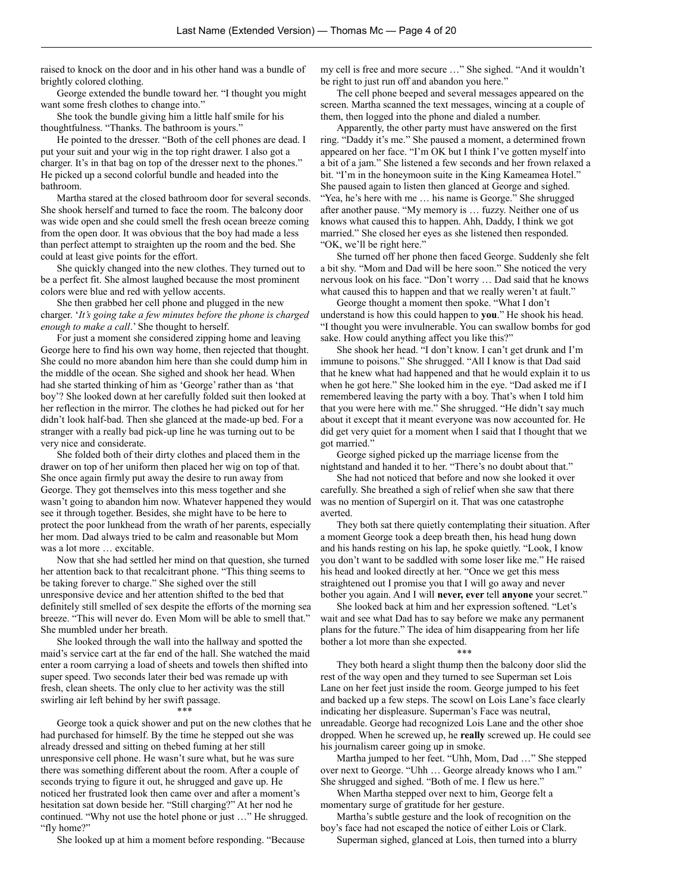raised to knock on the door and in his other hand was a bundle of brightly colored clothing.

George extended the bundle toward her. "I thought you might want some fresh clothes to change into."

She took the bundle giving him a little half smile for his thoughtfulness. "Thanks. The bathroom is yours."

He pointed to the dresser. "Both of the cell phones are dead. I put your suit and your wig in the top right drawer. I also got a charger. It's in that bag on top of the dresser next to the phones." He picked up a second colorful bundle and headed into the bathroom.

Martha stared at the closed bathroom door for several seconds. She shook herself and turned to face the room. The balcony door was wide open and she could smell the fresh ocean breeze coming from the open door. It was obvious that the boy had made a less than perfect attempt to straighten up the room and the bed. She could at least give points for the effort.

She quickly changed into the new clothes. They turned out to be a perfect fit. She almost laughed because the most prominent colors were blue and red with yellow accents.

She then grabbed her cell phone and plugged in the new charger. '*It's going take a few minutes before the phone is charged enough to make a call*.' She thought to herself.

For just a moment she considered zipping home and leaving George here to find his own way home, then rejected that thought. She could no more abandon him here than she could dump him in the middle of the ocean. She sighed and shook her head. When had she started thinking of him as 'George' rather than as 'that boy'? She looked down at her carefully folded suit then looked at her reflection in the mirror. The clothes he had picked out for her didn't look half-bad. Then she glanced at the made-up bed. For a stranger with a really bad pick-up line he was turning out to be very nice and considerate.

She folded both of their dirty clothes and placed them in the drawer on top of her uniform then placed her wig on top of that. She once again firmly put away the desire to run away from George. They got themselves into this mess together and she wasn't going to abandon him now. Whatever happened they would see it through together. Besides, she might have to be here to protect the poor lunkhead from the wrath of her parents, especially her mom. Dad always tried to be calm and reasonable but Mom was a lot more … excitable.

Now that she had settled her mind on that question, she turned her attention back to that recalcitrant phone. "This thing seems to be taking forever to charge." She sighed over the still unresponsive device and her attention shifted to the bed that definitely still smelled of sex despite the efforts of the morning sea breeze. "This will never do. Even Mom will be able to smell that." She mumbled under her breath.

She looked through the wall into the hallway and spotted the maid's service cart at the far end of the hall. She watched the maid enter a room carrying a load of sheets and towels then shifted into super speed. Two seconds later their bed was remade up with fresh, clean sheets. The only clue to her activity was the still swirling air left behind by her swift passage.

\*\*\*

George took a quick shower and put on the new clothes that he had purchased for himself. By the time he stepped out she was already dressed and sitting on thebed fuming at her still unresponsive cell phone. He wasn't sure what, but he was sure there was something different about the room. After a couple of seconds trying to figure it out, he shrugged and gave up. He noticed her frustrated look then came over and after a moment's hesitation sat down beside her. "Still charging?" At her nod he continued. "Why not use the hotel phone or just …" He shrugged. "fly home?"

She looked up at him a moment before responding. "Because

my cell is free and more secure …" She sighed. "And it wouldn't be right to just run off and abandon you here."

The cell phone beeped and several messages appeared on the screen. Martha scanned the text messages, wincing at a couple of them, then logged into the phone and dialed a number.

Apparently, the other party must have answered on the first ring. "Daddy it's me." She paused a moment, a determined frown appeared on her face. "I'm OK but I think I've gotten myself into a bit of a jam." She listened a few seconds and her frown relaxed a bit. "I'm in the honeymoon suite in the King Kameamea Hotel." She paused again to listen then glanced at George and sighed. "Yea, he's here with me … his name is George." She shrugged after another pause. "My memory is … fuzzy. Neither one of us knows what caused this to happen. Ahh, Daddy, I think we got married." She closed her eyes as she listened then responded. "OK, we'll be right here."

She turned off her phone then faced George. Suddenly she felt a bit shy. "Mom and Dad will be here soon." She noticed the very nervous look on his face. "Don't worry … Dad said that he knows what caused this to happen and that we really weren't at fault."

George thought a moment then spoke. "What I don't understand is how this could happen to **you**." He shook his head. "I thought you were invulnerable. You can swallow bombs for god sake. How could anything affect you like this?"

She shook her head. "I don't know. I can't get drunk and I'm immune to poisons." She shrugged. "All I know is that Dad said that he knew what had happened and that he would explain it to us when he got here." She looked him in the eye. "Dad asked me if I remembered leaving the party with a boy. That's when I told him that you were here with me." She shrugged. "He didn't say much about it except that it meant everyone was now accounted for. He did get very quiet for a moment when I said that I thought that we got married."

George sighed picked up the marriage license from the nightstand and handed it to her. "There's no doubt about that."

She had not noticed that before and now she looked it over carefully. She breathed a sigh of relief when she saw that there was no mention of Supergirl on it. That was one catastrophe averted.

They both sat there quietly contemplating their situation. After a moment George took a deep breath then, his head hung down and his hands resting on his lap, he spoke quietly. "Look, I know you don't want to be saddled with some loser like me." He raised his head and looked directly at her. "Once we get this mess straightened out I promise you that I will go away and never bother you again. And I will **never, ever** tell **anyone** your secret."

She looked back at him and her expression softened. "Let's wait and see what Dad has to say before we make any permanent plans for the future." The idea of him disappearing from her life bother a lot more than she expected.

## \*\*\*

They both heard a slight thump then the balcony door slid the rest of the way open and they turned to see Superman set Lois Lane on her feet just inside the room. George jumped to his feet and backed up a few steps. The scowl on Lois Lane's face clearly indicating her displeasure. Superman's Face was neutral, unreadable. George had recognized Lois Lane and the other shoe dropped. When he screwed up, he **really** screwed up. He could see his journalism career going up in smoke.

Martha jumped to her feet. "Uhh, Mom, Dad …" She stepped over next to George. "Uhh … George already knows who I am." She shrugged and sighed. "Both of me. I flew us here."

When Martha stepped over next to him, George felt a momentary surge of gratitude for her gesture.

Martha's subtle gesture and the look of recognition on the boy's face had not escaped the notice of either Lois or Clark.

Superman sighed, glanced at Lois, then turned into a blurry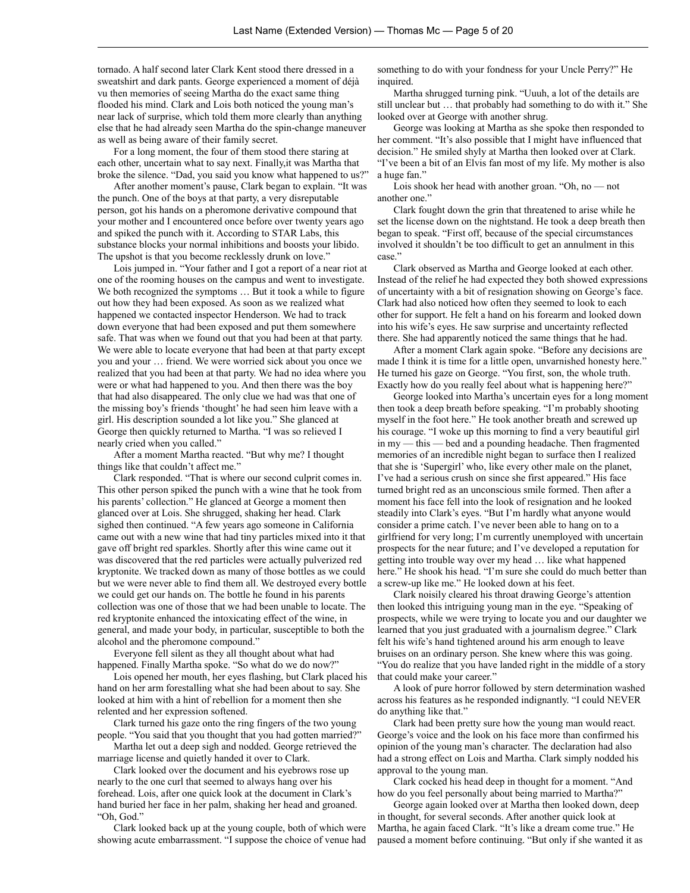tornado. A half second later Clark Kent stood there dressed in a sweatshirt and dark pants. George experienced a moment of déjà vu then memories of seeing Martha do the exact same thing flooded his mind. Clark and Lois both noticed the young man's near lack of surprise, which told them more clearly than anything else that he had already seen Martha do the spin-change maneuver as well as being aware of their family secret.

For a long moment, the four of them stood there staring at each other, uncertain what to say next. Finally,it was Martha that broke the silence. "Dad, you said you know what happened to us?"

After another moment's pause, Clark began to explain. "It was the punch. One of the boys at that party, a very disreputable person, got his hands on a pheromone derivative compound that your mother and I encountered once before over twenty years ago and spiked the punch with it. According to STAR Labs, this substance blocks your normal inhibitions and boosts your libido. The upshot is that you become recklessly drunk on love."

Lois jumped in. "Your father and I got a report of a near riot at one of the rooming houses on the campus and went to investigate. We both recognized the symptoms … But it took a while to figure out how they had been exposed. As soon as we realized what happened we contacted inspector Henderson. We had to track down everyone that had been exposed and put them somewhere safe. That was when we found out that you had been at that party. We were able to locate everyone that had been at that party except you and your … friend. We were worried sick about you once we realized that you had been at that party. We had no idea where you were or what had happened to you. And then there was the boy that had also disappeared. The only clue we had was that one of the missing boy's friends 'thought' he had seen him leave with a girl. His description sounded a lot like you." She glanced at George then quickly returned to Martha. "I was so relieved I nearly cried when you called."

After a moment Martha reacted. "But why me? I thought things like that couldn't affect me."

Clark responded. "That is where our second culprit comes in. This other person spiked the punch with a wine that he took from his parents' collection." He glanced at George a moment then glanced over at Lois. She shrugged, shaking her head. Clark sighed then continued. "A few years ago someone in California came out with a new wine that had tiny particles mixed into it that gave off bright red sparkles. Shortly after this wine came out it was discovered that the red particles were actually pulverized red kryptonite. We tracked down as many of those bottles as we could but we were never able to find them all. We destroyed every bottle we could get our hands on. The bottle he found in his parents collection was one of those that we had been unable to locate. The red kryptonite enhanced the intoxicating effect of the wine, in general, and made your body, in particular, susceptible to both the alcohol and the pheromone compound."

Everyone fell silent as they all thought about what had happened. Finally Martha spoke. "So what do we do now?"

Lois opened her mouth, her eyes flashing, but Clark placed his hand on her arm forestalling what she had been about to say. She looked at him with a hint of rebellion for a moment then she relented and her expression softened.

Clark turned his gaze onto the ring fingers of the two young people. "You said that you thought that you had gotten married?" Martha let out a deep sigh and nodded. George retrieved the

marriage license and quietly handed it over to Clark. Clark looked over the document and his eyebrows rose up nearly to the one curl that seemed to always hang over his

forehead. Lois, after one quick look at the document in Clark's hand buried her face in her palm, shaking her head and groaned. "Oh, God."

Clark looked back up at the young couple, both of which were showing acute embarrassment. "I suppose the choice of venue had

something to do with your fondness for your Uncle Perry?" He inquired.

Martha shrugged turning pink. "Uuuh, a lot of the details are still unclear but … that probably had something to do with it." She looked over at George with another shrug.

George was looking at Martha as she spoke then responded to her comment. "It's also possible that I might have influenced that decision." He smiled shyly at Martha then looked over at Clark. "I've been a bit of an Elvis fan most of my life. My mother is also a huge fan."

Lois shook her head with another groan. "Oh, no — not another one."

Clark fought down the grin that threatened to arise while he set the license down on the nightstand. He took a deep breath then began to speak. "First off, because of the special circumstances involved it shouldn't be too difficult to get an annulment in this case."

Clark observed as Martha and George looked at each other. Instead of the relief he had expected they both showed expressions of uncertainty with a bit of resignation showing on George's face. Clark had also noticed how often they seemed to look to each other for support. He felt a hand on his forearm and looked down into his wife's eyes. He saw surprise and uncertainty reflected there. She had apparently noticed the same things that he had.

After a moment Clark again spoke. "Before any decisions are made I think it is time for a little open, unvarnished honesty here." He turned his gaze on George. "You first, son, the whole truth. Exactly how do you really feel about what is happening here?"

George looked into Martha's uncertain eyes for a long moment then took a deep breath before speaking. "I'm probably shooting myself in the foot here." He took another breath and screwed up his courage. "I woke up this morning to find a very beautiful girl in my — this — bed and a pounding headache. Then fragmented memories of an incredible night began to surface then I realized that she is 'Supergirl' who, like every other male on the planet, I've had a serious crush on since she first appeared." His face turned bright red as an unconscious smile formed. Then after a moment his face fell into the look of resignation and he looked steadily into Clark's eyes. "But I'm hardly what anyone would consider a prime catch. I've never been able to hang on to a girlfriend for very long; I'm currently unemployed with uncertain prospects for the near future; and I've developed a reputation for getting into trouble way over my head … like what happened here." He shook his head. "I'm sure she could do much better than a screw-up like me." He looked down at his feet.

Clark noisily cleared his throat drawing George's attention then looked this intriguing young man in the eye. "Speaking of prospects, while we were trying to locate you and our daughter we learned that you just graduated with a journalism degree." Clark felt his wife's hand tightened around his arm enough to leave bruises on an ordinary person. She knew where this was going. "You do realize that you have landed right in the middle of a story that could make your career."

A look of pure horror followed by stern determination washed across his features as he responded indignantly. "I could NEVER do anything like that."

Clark had been pretty sure how the young man would react. George's voice and the look on his face more than confirmed his opinion of the young man's character. The declaration had also had a strong effect on Lois and Martha. Clark simply nodded his approval to the young man.

Clark cocked his head deep in thought for a moment. "And how do you feel personally about being married to Martha?"

George again looked over at Martha then looked down, deep in thought, for several seconds. After another quick look at Martha, he again faced Clark. "It's like a dream come true." He paused a moment before continuing. "But only if she wanted it as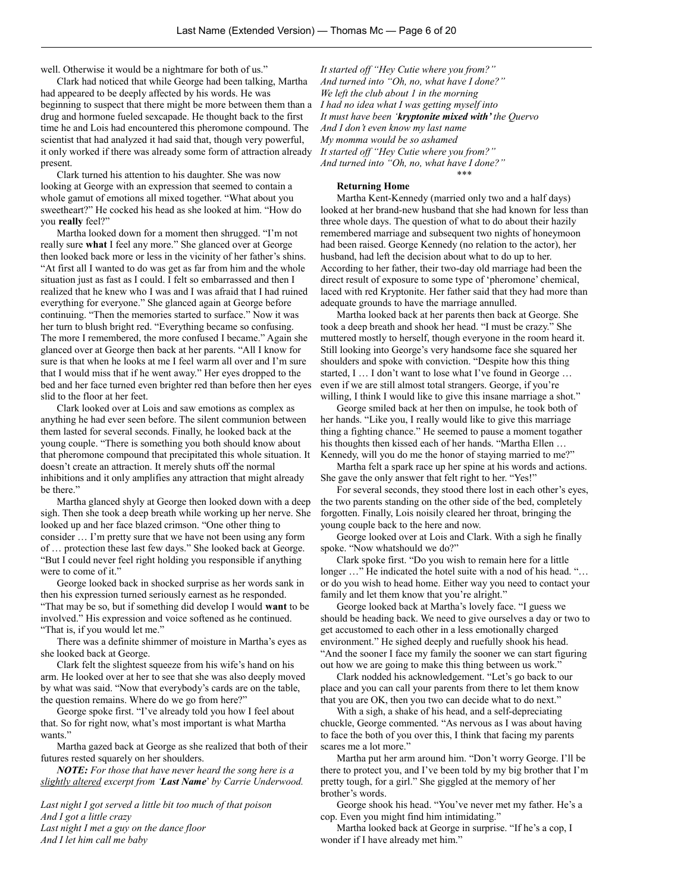well. Otherwise it would be a nightmare for both of us."

Clark had noticed that while George had been talking, Martha had appeared to be deeply affected by his words. He was beginning to suspect that there might be more between them than a drug and hormone fueled sexcapade. He thought back to the first time he and Lois had encountered this pheromone compound. The scientist that had analyzed it had said that, though very powerful, it only worked if there was already some form of attraction already present.

Clark turned his attention to his daughter. She was now looking at George with an expression that seemed to contain a whole gamut of emotions all mixed together. "What about you sweetheart?" He cocked his head as she looked at him. "How do you **really** feel?"

Martha looked down for a moment then shrugged. "I'm not really sure **what** I feel any more." She glanced over at George then looked back more or less in the vicinity of her father's shins. "At first all I wanted to do was get as far from him and the whole situation just as fast as I could. I felt so embarrassed and then I realized that he knew who I was and I was afraid that I had ruined everything for everyone." She glanced again at George before continuing. "Then the memories started to surface." Now it was her turn to blush bright red. "Everything became so confusing. The more I remembered, the more confused I became." Again she glanced over at George then back at her parents. "All I know for sure is that when he looks at me I feel warm all over and I'm sure that I would miss that if he went away." Her eyes dropped to the bed and her face turned even brighter red than before then her eyes slid to the floor at her feet.

Clark looked over at Lois and saw emotions as complex as anything he had ever seen before. The silent communion between them lasted for several seconds. Finally, he looked back at the young couple. "There is something you both should know about that pheromone compound that precipitated this whole situation. It doesn't create an attraction. It merely shuts off the normal inhibitions and it only amplifies any attraction that might already be there."

Martha glanced shyly at George then looked down with a deep sigh. Then she took a deep breath while working up her nerve. She looked up and her face blazed crimson. "One other thing to consider … I'm pretty sure that we have not been using any form of … protection these last few days." She looked back at George. "But I could never feel right holding you responsible if anything were to come of it."

George looked back in shocked surprise as her words sank in then his expression turned seriously earnest as he responded. "That may be so, but if something did develop I would **want** to be involved." His expression and voice softened as he continued. "That is, if you would let me."

There was a definite shimmer of moisture in Martha's eyes as she looked back at George.

Clark felt the slightest squeeze from his wife's hand on his arm. He looked over at her to see that she was also deeply moved by what was said. "Now that everybody's cards are on the table, the question remains. Where do we go from here?"

George spoke first. "I've already told you how I feel about that. So for right now, what's most important is what Martha wants."

Martha gazed back at George as she realized that both of their futures rested squarely on her shoulders.

*NOTE: For those that have never heard the song here is a slightly altered excerpt from 'Last Name*' *by Carrie Underwood.* 

*Last night I got served a little bit too much of that poison And I got a little crazy Last night I met a guy on the dance floor And I let him call me baby*

*It started off "Hey Cutie where you from?" And turned into "Oh, no, what have I done?" We left the club about 1 in the morning I had no idea what I was getting myself into It must have been 'kryptonite mixed with' the Quervo And I don't even know my last name My momma would be so ashamed It started off "Hey Cutie where you from?" And turned into "Oh, no, what have I done?"* \*\*\*

# **Returning Home**

Martha Kent-Kennedy (married only two and a half days) looked at her brand-new husband that she had known for less than three whole days. The question of what to do about their hazily remembered marriage and subsequent two nights of honeymoon had been raised. George Kennedy (no relation to the actor), her husband, had left the decision about what to do up to her. According to her father, their two-day old marriage had been the direct result of exposure to some type of 'pheromone' chemical, laced with red Kryptonite. Her father said that they had more than adequate grounds to have the marriage annulled.

Martha looked back at her parents then back at George. She took a deep breath and shook her head. "I must be crazy." She muttered mostly to herself, though everyone in the room heard it. Still looking into George's very handsome face she squared her shoulders and spoke with conviction. "Despite how this thing started, I … I don't want to lose what I've found in George … even if we are still almost total strangers. George, if you're willing, I think I would like to give this insane marriage a shot."

George smiled back at her then on impulse, he took both of her hands. "Like you, I really would like to give this marriage thing a fighting chance." He seemed to pause a moment togather his thoughts then kissed each of her hands. "Martha Ellen … Kennedy, will you do me the honor of staying married to me?"

Martha felt a spark race up her spine at his words and actions. She gave the only answer that felt right to her. "Yes!"

For several seconds, they stood there lost in each other's eyes, the two parents standing on the other side of the bed, completely forgotten. Finally, Lois noisily cleared her throat, bringing the young couple back to the here and now.

George looked over at Lois and Clark. With a sigh he finally spoke. "Now whatshould we do?"

Clark spoke first. "Do you wish to remain here for a little longer …" He indicated the hotel suite with a nod of his head. "… or do you wish to head home. Either way you need to contact your family and let them know that you're alright."

George looked back at Martha's lovely face. "I guess we should be heading back. We need to give ourselves a day or two to get accustomed to each other in a less emotionally charged environment." He sighed deeply and ruefully shook his head. "And the sooner I face my family the sooner we can start figuring out how we are going to make this thing between us work."

Clark nodded his acknowledgement. "Let's go back to our place and you can call your parents from there to let them know that you are OK, then you two can decide what to do next."

With a sigh, a shake of his head, and a self-depreciating chuckle, George commented. "As nervous as I was about having to face the both of you over this, I think that facing my parents scares me a lot more."

Martha put her arm around him. "Don't worry George. I'll be there to protect you, and I've been told by my big brother that I'm pretty tough, for a girl." She giggled at the memory of her brother's words.

George shook his head. "You've never met my father. He's a cop. Even you might find him intimidating."

Martha looked back at George in surprise. "If he's a cop, I wonder if I have already met him."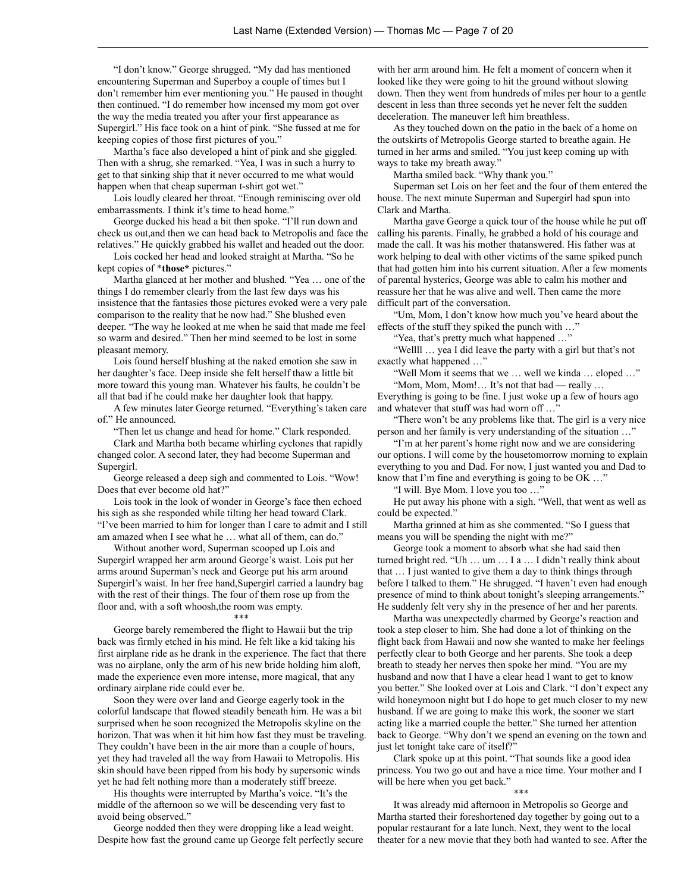"I don't know." George shrugged. "My dad has mentioned encountering Superman and Superboy a couple of times but I don't remember him ever mentioning you." He paused in thought then continued. "I do remember how incensed my mom got over the way the media treated you after your first appearance as Supergirl." His face took on a hint of pink. "She fussed at me for keeping copies of those first pictures of you."

Martha's face also developed a hint of pink and she giggled. Then with a shrug, she remarked. "Yea, I was in such a hurry to get to that sinking ship that it never occurred to me what would happen when that cheap superman t-shirt got wet."

Lois loudly cleared her throat. "Enough reminiscing over old embarrassments. I think it's time to head home."

George ducked his head a bit then spoke. "I'll run down and check us out,and then we can head back to Metropolis and face the relatives." He quickly grabbed his wallet and headed out the door.

Lois cocked her head and looked straight at Martha. "So he kept copies of \***those\*** pictures."

Martha glanced at her mother and blushed. "Yea … one of the things I do remember clearly from the last few days was his insistence that the fantasies those pictures evoked were a very pale comparison to the reality that he now had." She blushed even deeper. "The way he looked at me when he said that made me feel so warm and desired." Then her mind seemed to be lost in some pleasant memory.

Lois found herself blushing at the naked emotion she saw in her daughter's face. Deep inside she felt herself thaw a little bit more toward this young man. Whatever his faults, he couldn't be all that bad if he could make her daughter look that happy.

A few minutes later George returned. "Everything's taken care of." He announced.

"Then let us change and head for home." Clark responded.

Clark and Martha both became whirling cyclones that rapidly changed color. A second later, they had become Superman and Supergirl.

George released a deep sigh and commented to Lois. "Wow! Does that ever become old hat?"

Lois took in the look of wonder in George's face then echoed his sigh as she responded while tilting her head toward Clark. "I've been married to him for longer than I care to admit and I still am amazed when I see what he … what all of them, can do."

Without another word, Superman scooped up Lois and Supergirl wrapped her arm around George's waist. Lois put her arms around Superman's neck and George put his arm around Supergirl's waist. In her free hand,Supergirl carried a laundry bag with the rest of their things. The four of them rose up from the floor and, with a soft whoosh,the room was empty.

\*\*\*

George barely remembered the flight to Hawaii but the trip back was firmly etched in his mind. He felt like a kid taking his first airplane ride as he drank in the experience. The fact that there was no airplane, only the arm of his new bride holding him aloft, made the experience even more intense, more magical, that any ordinary airplane ride could ever be.

Soon they were over land and George eagerly took in the colorful landscape that flowed steadily beneath him. He was a bit surprised when he soon recognized the Metropolis skyline on the horizon. That was when it hit him how fast they must be traveling. They couldn't have been in the air more than a couple of hours, yet they had traveled all the way from Hawaii to Metropolis. His skin should have been ripped from his body by supersonic winds yet he had felt nothing more than a moderately stiff breeze.

His thoughts were interrupted by Martha's voice. "It's the middle of the afternoon so we will be descending very fast to avoid being observed."

George nodded then they were dropping like a lead weight. Despite how fast the ground came up George felt perfectly secure with her arm around him. He felt a moment of concern when it looked like they were going to hit the ground without slowing down. Then they went from hundreds of miles per hour to a gentle descent in less than three seconds yet he never felt the sudden deceleration. The maneuver left him breathless.

As they touched down on the patio in the back of a home on the outskirts of Metropolis George started to breathe again. He turned in her arms and smiled. "You just keep coming up with ways to take my breath away."

Martha smiled back. "Why thank you."

Superman set Lois on her feet and the four of them entered the house. The next minute Superman and Supergirl had spun into Clark and Martha.

Martha gave George a quick tour of the house while he put off calling his parents. Finally, he grabbed a hold of his courage and made the call. It was his mother thatanswered. His father was at work helping to deal with other victims of the same spiked punch that had gotten him into his current situation. After a few moments of parental hysterics, George was able to calm his mother and reassure her that he was alive and well. Then came the more difficult part of the conversation.

"Um, Mom, I don't know how much you've heard about the effects of the stuff they spiked the punch with ...

"Yea, that's pretty much what happened …"

"Wellll … yea I did leave the party with a girl but that's not exactly what happened …"

"Well Mom it seems that we … well we kinda … eloped …"

"Mom, Mom, Mom!… It's not that bad — really … Everything is going to be fine. I just woke up a few of hours ago and whatever that stuff was had worn off ...'

"There won't be any problems like that. The girl is a very nice person and her family is very understanding of the situation …"

"I'm at her parent's home right now and we are considering our options. I will come by the housetomorrow morning to explain everything to you and Dad. For now, I just wanted you and Dad to know that I'm fine and everything is going to be OK …"

"I will. Bye Mom. I love you too …"

He put away his phone with a sigh. "Well, that went as well as could be expected."

Martha grinned at him as she commented. "So I guess that means you will be spending the night with me?"

George took a moment to absorb what she had said then turned bright red. "Uh … um … I a … I didn't really think about that … I just wanted to give them a day to think things through before I talked to them." He shrugged. "I haven't even had enough presence of mind to think about tonight's sleeping arrangements. He suddenly felt very shy in the presence of her and her parents.

Martha was unexpectedly charmed by George's reaction and took a step closer to him. She had done a lot of thinking on the flight back from Hawaii and now she wanted to make her feelings perfectly clear to both George and her parents. She took a deep breath to steady her nerves then spoke her mind. "You are my husband and now that I have a clear head I want to get to know you better." She looked over at Lois and Clark. "I don't expect any wild honeymoon night but I do hope to get much closer to my new husband. If we are going to make this work, the sooner we start acting like a married couple the better." She turned her attention back to George. "Why don't we spend an evening on the town and just let tonight take care of itself?"

Clark spoke up at this point. "That sounds like a good idea princess. You two go out and have a nice time. Your mother and I will be here when you get back."

It was already mid afternoon in Metropolis so George and Martha started their foreshortened day together by going out to a popular restaurant for a late lunch. Next, they went to the local theater for a new movie that they both had wanted to see. After the

\*\*\*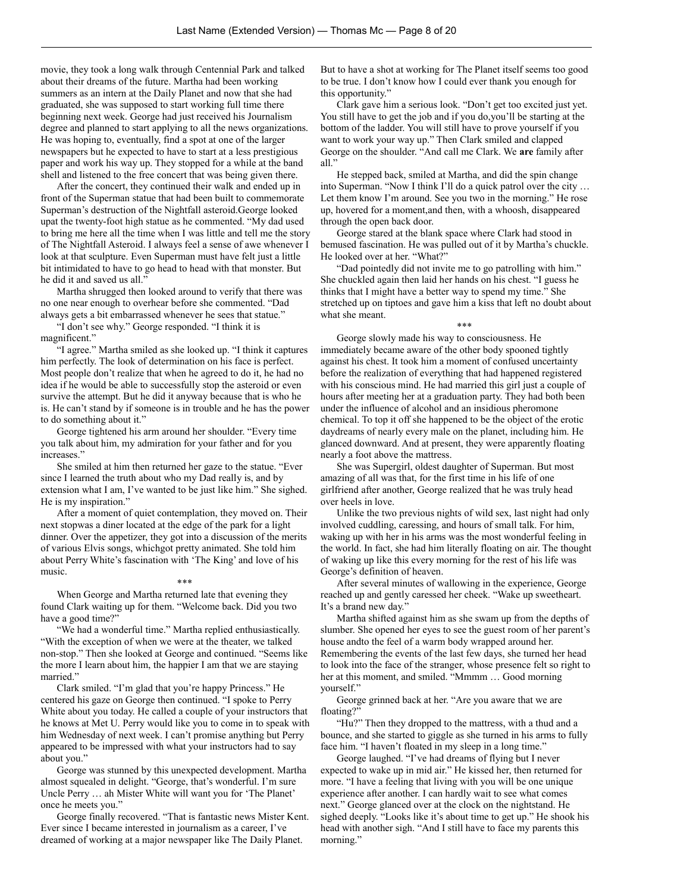movie, they took a long walk through Centennial Park and talked about their dreams of the future. Martha had been working summers as an intern at the Daily Planet and now that she had graduated, she was supposed to start working full time there beginning next week. George had just received his Journalism degree and planned to start applying to all the news organizations. He was hoping to, eventually, find a spot at one of the larger newspapers but he expected to have to start at a less prestigious paper and work his way up. They stopped for a while at the band shell and listened to the free concert that was being given there.

After the concert, they continued their walk and ended up in front of the Superman statue that had been built to commemorate Superman's destruction of the Nightfall asteroid.George looked upat the twenty-foot high statue as he commented. "My dad used to bring me here all the time when I was little and tell me the story of The Nightfall Asteroid. I always feel a sense of awe whenever I look at that sculpture. Even Superman must have felt just a little bit intimidated to have to go head to head with that monster. But he did it and saved us all."

Martha shrugged then looked around to verify that there was no one near enough to overhear before she commented. "Dad always gets a bit embarrassed whenever he sees that statue."

"I don't see why." George responded. "I think it is magnificent."

"I agree." Martha smiled as she looked up. "I think it captures him perfectly. The look of determination on his face is perfect. Most people don't realize that when he agreed to do it, he had no idea if he would be able to successfully stop the asteroid or even survive the attempt. But he did it anyway because that is who he is. He can't stand by if someone is in trouble and he has the power to do something about it."

George tightened his arm around her shoulder. "Every time you talk about him, my admiration for your father and for you increases."

She smiled at him then returned her gaze to the statue. "Ever since I learned the truth about who my Dad really is, and by extension what I am, I've wanted to be just like him." She sighed. He is my inspiration."

After a moment of quiet contemplation, they moved on. Their next stopwas a diner located at the edge of the park for a light dinner. Over the appetizer, they got into a discussion of the merits of various Elvis songs, whichgot pretty animated. She told him about Perry White's fascination with 'The King' and love of his music.

#### \*\*\*

When George and Martha returned late that evening they found Clark waiting up for them. "Welcome back. Did you two have a good time?"

"We had a wonderful time." Martha replied enthusiastically. "With the exception of when we were at the theater, we talked non-stop." Then she looked at George and continued. "Seems like the more I learn about him, the happier I am that we are staying married."

Clark smiled. "I'm glad that you're happy Princess." He centered his gaze on George then continued. "I spoke to Perry White about you today. He called a couple of your instructors that he knows at Met U. Perry would like you to come in to speak with him Wednesday of next week. I can't promise anything but Perry appeared to be impressed with what your instructors had to say about you."

George was stunned by this unexpected development. Martha almost squealed in delight. "George, that's wonderful. I'm sure Uncle Perry … ah Mister White will want you for 'The Planet' once he meets you."

George finally recovered. "That is fantastic news Mister Kent. Ever since I became interested in journalism as a career, I've dreamed of working at a major newspaper like The Daily Planet.

But to have a shot at working for The Planet itself seems too good to be true. I don't know how I could ever thank you enough for this opportunity."

Clark gave him a serious look. "Don't get too excited just yet. You still have to get the job and if you do,you'll be starting at the bottom of the ladder. You will still have to prove yourself if you want to work your way up." Then Clark smiled and clapped George on the shoulder. "And call me Clark. We **are** family after all."

He stepped back, smiled at Martha, and did the spin change into Superman. "Now I think I'll do a quick patrol over the city … Let them know I'm around. See you two in the morning." He rose up, hovered for a moment,and then, with a whoosh, disappeared through the open back door.

George stared at the blank space where Clark had stood in bemused fascination. He was pulled out of it by Martha's chuckle. He looked over at her. "What?"

"Dad pointedly did not invite me to go patrolling with him." She chuckled again then laid her hands on his chest. "I guess he thinks that I might have a better way to spend my time." She stretched up on tiptoes and gave him a kiss that left no doubt about what she meant.

# \*\*\*

George slowly made his way to consciousness. He immediately became aware of the other body spooned tightly against his chest. It took him a moment of confused uncertainty before the realization of everything that had happened registered with his conscious mind. He had married this girl just a couple of hours after meeting her at a graduation party. They had both been under the influence of alcohol and an insidious pheromone chemical. To top it off she happened to be the object of the erotic daydreams of nearly every male on the planet, including him. He glanced downward. And at present, they were apparently floating nearly a foot above the mattress.

She was Supergirl, oldest daughter of Superman. But most amazing of all was that, for the first time in his life of one girlfriend after another, George realized that he was truly head over heels in love.

Unlike the two previous nights of wild sex, last night had only involved cuddling, caressing, and hours of small talk. For him, waking up with her in his arms was the most wonderful feeling in the world. In fact, she had him literally floating on air. The thought of waking up like this every morning for the rest of his life was George's definition of heaven.

After several minutes of wallowing in the experience, George reached up and gently caressed her cheek. "Wake up sweetheart. It's a brand new day."

Martha shifted against him as she swam up from the depths of slumber. She opened her eyes to see the guest room of her parent's house andto the feel of a warm body wrapped around her. Remembering the events of the last few days, she turned her head to look into the face of the stranger, whose presence felt so right to her at this moment, and smiled. "Mmmm … Good morning yourself."

George grinned back at her. "Are you aware that we are floating?"

"Hu?" Then they dropped to the mattress, with a thud and a bounce, and she started to giggle as she turned in his arms to fully face him. "I haven't floated in my sleep in a long time."

George laughed. "I've had dreams of flying but I never expected to wake up in mid air." He kissed her, then returned for more. "I have a feeling that living with you will be one unique experience after another. I can hardly wait to see what comes next." George glanced over at the clock on the nightstand. He sighed deeply. "Looks like it's about time to get up." He shook his head with another sigh. "And I still have to face my parents this morning."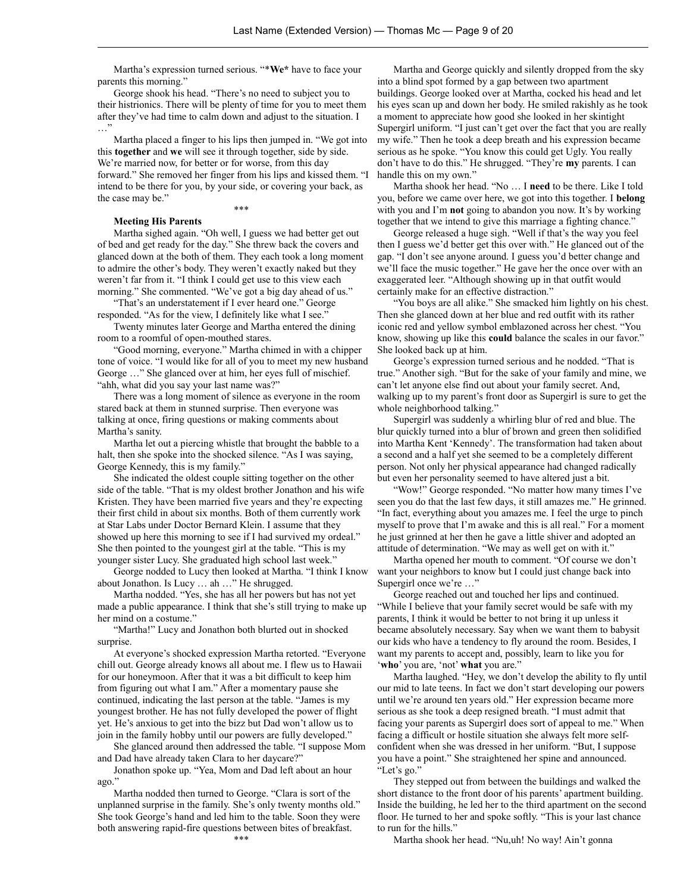Martha's expression turned serious. "\***We\*** have to face your parents this morning."

George shook his head. "There's no need to subject you to their histrionics. There will be plenty of time for you to meet them after they've had time to calm down and adjust to the situation. I …"

Martha placed a finger to his lips then jumped in. "We got into this **together** and **we** will see it through together, side by side. We're married now, for better or for worse, from this day forward." She removed her finger from his lips and kissed them. "I intend to be there for you, by your side, or covering your back, as the case may be."

\*\*\*

#### **Meeting His Parents**

Martha sighed again. "Oh well, I guess we had better get out of bed and get ready for the day." She threw back the covers and glanced down at the both of them. They each took a long moment to admire the other's body. They weren't exactly naked but they weren't far from it. "I think I could get use to this view each morning." She commented. "We've got a big day ahead of us."

"That's an understatement if I ever heard one." George responded. "As for the view, I definitely like what I see."

Twenty minutes later George and Martha entered the dining room to a roomful of open-mouthed stares.

"Good morning, everyone." Martha chimed in with a chipper tone of voice. "I would like for all of you to meet my new husband George …" She glanced over at him, her eyes full of mischief. "ahh, what did you say your last name was?"

There was a long moment of silence as everyone in the room stared back at them in stunned surprise. Then everyone was talking at once, firing questions or making comments about Martha's sanity.

Martha let out a piercing whistle that brought the babble to a halt, then she spoke into the shocked silence. "As I was saying, George Kennedy, this is my family."

She indicated the oldest couple sitting together on the other side of the table. "That is my oldest brother Jonathon and his wife Kristen. They have been married five years and they're expecting their first child in about six months. Both of them currently work at Star Labs under Doctor Bernard Klein. I assume that they showed up here this morning to see if I had survived my ordeal." She then pointed to the youngest girl at the table. "This is my younger sister Lucy. She graduated high school last week."

George nodded to Lucy then looked at Martha. "I think I know about Jonathon. Is Lucy … ah …" He shrugged.

Martha nodded. "Yes, she has all her powers but has not yet made a public appearance. I think that she's still trying to make up her mind on a costume."

"Martha!" Lucy and Jonathon both blurted out in shocked surprise.

At everyone's shocked expression Martha retorted. "Everyone chill out. George already knows all about me. I flew us to Hawaii for our honeymoon. After that it was a bit difficult to keep him from figuring out what I am." After a momentary pause she continued, indicating the last person at the table. "James is my youngest brother. He has not fully developed the power of flight yet. He's anxious to get into the bizz but Dad won't allow us to join in the family hobby until our powers are fully developed."

She glanced around then addressed the table. "I suppose Mom and Dad have already taken Clara to her daycare?"

Jonathon spoke up. "Yea, Mom and Dad left about an hour ago."

Martha nodded then turned to George. "Clara is sort of the unplanned surprise in the family. She's only twenty months old." She took George's hand and led him to the table. Soon they were both answering rapid-fire questions between bites of breakfast.

Martha and George quickly and silently dropped from the sky into a blind spot formed by a gap between two apartment buildings. George looked over at Martha, cocked his head and let his eyes scan up and down her body. He smiled rakishly as he took a moment to appreciate how good she looked in her skintight Supergirl uniform. "I just can't get over the fact that you are really my wife." Then he took a deep breath and his expression became serious as he spoke. "You know this could get Ugly. You really don't have to do this." He shrugged. "They're **my** parents. I can handle this on my own."

Martha shook her head. "No … I **need** to be there. Like I told you, before we came over here, we got into this together. I **belong** with you and I'm **not** going to abandon you now. It's by working together that we intend to give this marriage a fighting chance."

George released a huge sigh. "Well if that's the way you feel then I guess we'd better get this over with." He glanced out of the gap. "I don't see anyone around. I guess you'd better change and we'll face the music together." He gave her the once over with an exaggerated leer. "Although showing up in that outfit would certainly make for an effective distraction."

"You boys are all alike." She smacked him lightly on his chest. Then she glanced down at her blue and red outfit with its rather iconic red and yellow symbol emblazoned across her chest. "You know, showing up like this **could** balance the scales in our favor." She looked back up at him.

George's expression turned serious and he nodded. "That is true." Another sigh. "But for the sake of your family and mine, we can't let anyone else find out about your family secret. And, walking up to my parent's front door as Supergirl is sure to get the whole neighborhood talking."

Supergirl was suddenly a whirling blur of red and blue. The blur quickly turned into a blur of brown and green then solidified into Martha Kent 'Kennedy'. The transformation had taken about a second and a half yet she seemed to be a completely different person. Not only her physical appearance had changed radically but even her personality seemed to have altered just a bit.

"Wow!" George responded. "No matter how many times I've seen you do that the last few days, it still amazes me." He grinned. "In fact, everything about you amazes me. I feel the urge to pinch myself to prove that I'm awake and this is all real." For a moment he just grinned at her then he gave a little shiver and adopted an attitude of determination. "We may as well get on with it."

Martha opened her mouth to comment. "Of course we don't want your neighbors to know but I could just change back into Supergirl once we're ...'

George reached out and touched her lips and continued. "While I believe that your family secret would be safe with my parents, I think it would be better to not bring it up unless it became absolutely necessary. Say when we want them to babysit our kids who have a tendency to fly around the room. Besides, I want my parents to accept and, possibly, learn to like you for '**who**' you are, 'not' **what** you are."

Martha laughed. "Hey, we don't develop the ability to fly until our mid to late teens. In fact we don't start developing our powers until we're around ten years old." Her expression became more serious as she took a deep resigned breath. "I must admit that facing your parents as Supergirl does sort of appeal to me." When facing a difficult or hostile situation she always felt more selfconfident when she was dressed in her uniform. "But, I suppose you have a point." She straightened her spine and announced. "Let's go."

They stepped out from between the buildings and walked the short distance to the front door of his parents' apartment building. Inside the building, he led her to the third apartment on the second floor. He turned to her and spoke softly. "This is your last chance to run for the hills."

Martha shook her head. "Nu,uh! No way! Ain't gonna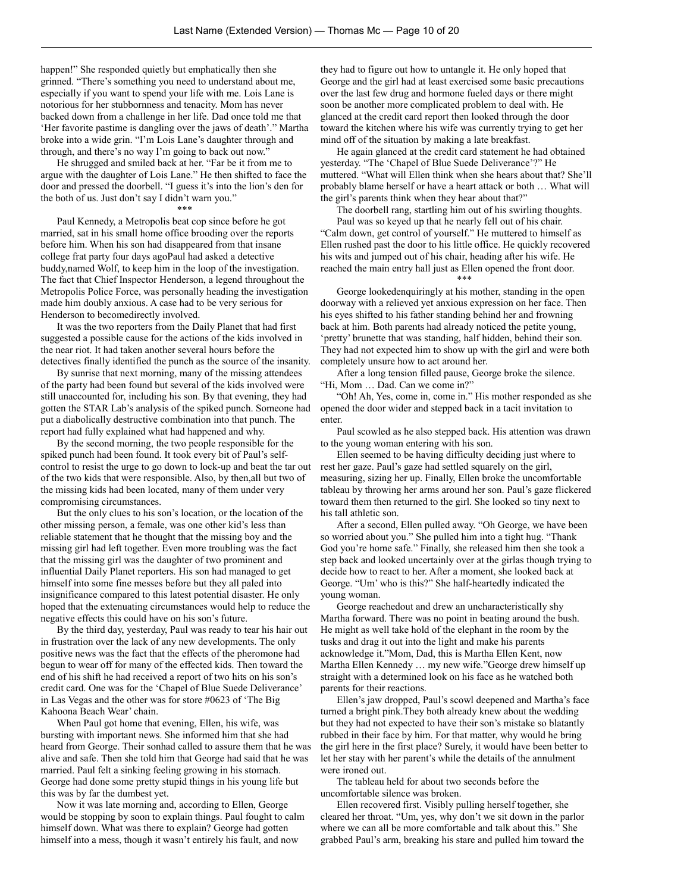happen!" She responded quietly but emphatically then she grinned. "There's something you need to understand about me, especially if you want to spend your life with me. Lois Lane is notorious for her stubbornness and tenacity. Mom has never backed down from a challenge in her life. Dad once told me that 'Her favorite pastime is dangling over the jaws of death'." Martha broke into a wide grin. "I'm Lois Lane's daughter through and through, and there's no way I'm going to back out now."

He shrugged and smiled back at her. "Far be it from me to argue with the daughter of Lois Lane." He then shifted to face the door and pressed the doorbell. "I guess it's into the lion's den for the both of us. Just don't say I didn't warn you."

\*\*\*

Paul Kennedy, a Metropolis beat cop since before he got married, sat in his small home office brooding over the reports before him. When his son had disappeared from that insane college frat party four days agoPaul had asked a detective buddy,named Wolf, to keep him in the loop of the investigation. The fact that Chief Inspector Henderson, a legend throughout the Metropolis Police Force, was personally heading the investigation made him doubly anxious. A case had to be very serious for Henderson to becomedirectly involved.

It was the two reporters from the Daily Planet that had first suggested a possible cause for the actions of the kids involved in the near riot. It had taken another several hours before the detectives finally identified the punch as the source of the insanity.

By sunrise that next morning, many of the missing attendees of the party had been found but several of the kids involved were still unaccounted for, including his son. By that evening, they had gotten the STAR Lab's analysis of the spiked punch. Someone had put a diabolically destructive combination into that punch. The report had fully explained what had happened and why.

By the second morning, the two people responsible for the spiked punch had been found. It took every bit of Paul's selfcontrol to resist the urge to go down to lock-up and beat the tar out of the two kids that were responsible. Also, by then,all but two of the missing kids had been located, many of them under very compromising circumstances.

But the only clues to his son's location, or the location of the other missing person, a female, was one other kid's less than reliable statement that he thought that the missing boy and the missing girl had left together. Even more troubling was the fact that the missing girl was the daughter of two prominent and influential Daily Planet reporters. His son had managed to get himself into some fine messes before but they all paled into insignificance compared to this latest potential disaster. He only hoped that the extenuating circumstances would help to reduce the negative effects this could have on his son's future.

By the third day, yesterday, Paul was ready to tear his hair out in frustration over the lack of any new developments. The only positive news was the fact that the effects of the pheromone had begun to wear off for many of the effected kids. Then toward the end of his shift he had received a report of two hits on his son's credit card. One was for the 'Chapel of Blue Suede Deliverance' in Las Vegas and the other was for store #0623 of 'The Big Kahoona Beach Wear' chain.

When Paul got home that evening, Ellen, his wife, was bursting with important news. She informed him that she had heard from George. Their sonhad called to assure them that he was alive and safe. Then she told him that George had said that he was married. Paul felt a sinking feeling growing in his stomach. George had done some pretty stupid things in his young life but this was by far the dumbest yet.

Now it was late morning and, according to Ellen, George would be stopping by soon to explain things. Paul fought to calm himself down. What was there to explain? George had gotten himself into a mess, though it wasn't entirely his fault, and now

they had to figure out how to untangle it. He only hoped that George and the girl had at least exercised some basic precautions over the last few drug and hormone fueled days or there might soon be another more complicated problem to deal with. He glanced at the credit card report then looked through the door toward the kitchen where his wife was currently trying to get her mind off of the situation by making a late breakfast.

He again glanced at the credit card statement he had obtained yesterday. "The 'Chapel of Blue Suede Deliverance'?" He muttered. "What will Ellen think when she hears about that? She'll probably blame herself or have a heart attack or both … What will the girl's parents think when they hear about that?"

The doorbell rang, startling him out of his swirling thoughts. Paul was so keyed up that he nearly fell out of his chair.

"Calm down, get control of yourself." He muttered to himself as Ellen rushed past the door to his little office. He quickly recovered his wits and jumped out of his chair, heading after his wife. He reached the main entry hall just as Ellen opened the front door. \*\*\*

George lookedenquiringly at his mother, standing in the open doorway with a relieved yet anxious expression on her face. Then his eyes shifted to his father standing behind her and frowning back at him. Both parents had already noticed the petite young, 'pretty' brunette that was standing, half hidden, behind their son. They had not expected him to show up with the girl and were both completely unsure how to act around her.

After a long tension filled pause, George broke the silence. "Hi, Mom … Dad. Can we come in?"

"Oh! Ah, Yes, come in, come in." His mother responded as she opened the door wider and stepped back in a tacit invitation to enter.

Paul scowled as he also stepped back. His attention was drawn to the young woman entering with his son.

Ellen seemed to be having difficulty deciding just where to rest her gaze. Paul's gaze had settled squarely on the girl, measuring, sizing her up. Finally, Ellen broke the uncomfortable tableau by throwing her arms around her son. Paul's gaze flickered toward them then returned to the girl. She looked so tiny next to his tall athletic son.

After a second, Ellen pulled away. "Oh George, we have been so worried about you." She pulled him into a tight hug. "Thank God you're home safe." Finally, she released him then she took a step back and looked uncertainly over at the girlas though trying to decide how to react to her. After a moment, she looked back at George. "Um' who is this?" She half-heartedly indicated the young woman.

George reachedout and drew an uncharacteristically shy Martha forward. There was no point in beating around the bush. He might as well take hold of the elephant in the room by the tusks and drag it out into the light and make his parents acknowledge it."Mom, Dad, this is Martha Ellen Kent, now Martha Ellen Kennedy … my new wife."George drew himself up straight with a determined look on his face as he watched both parents for their reactions.

Ellen's jaw dropped, Paul's scowl deepened and Martha's face turned a bright pink.They both already knew about the wedding but they had not expected to have their son's mistake so blatantly rubbed in their face by him. For that matter, why would he bring the girl here in the first place? Surely, it would have been better to let her stay with her parent's while the details of the annulment were ironed out.

The tableau held for about two seconds before the uncomfortable silence was broken.

Ellen recovered first. Visibly pulling herself together, she cleared her throat. "Um, yes, why don't we sit down in the parlor where we can all be more comfortable and talk about this." She grabbed Paul's arm, breaking his stare and pulled him toward the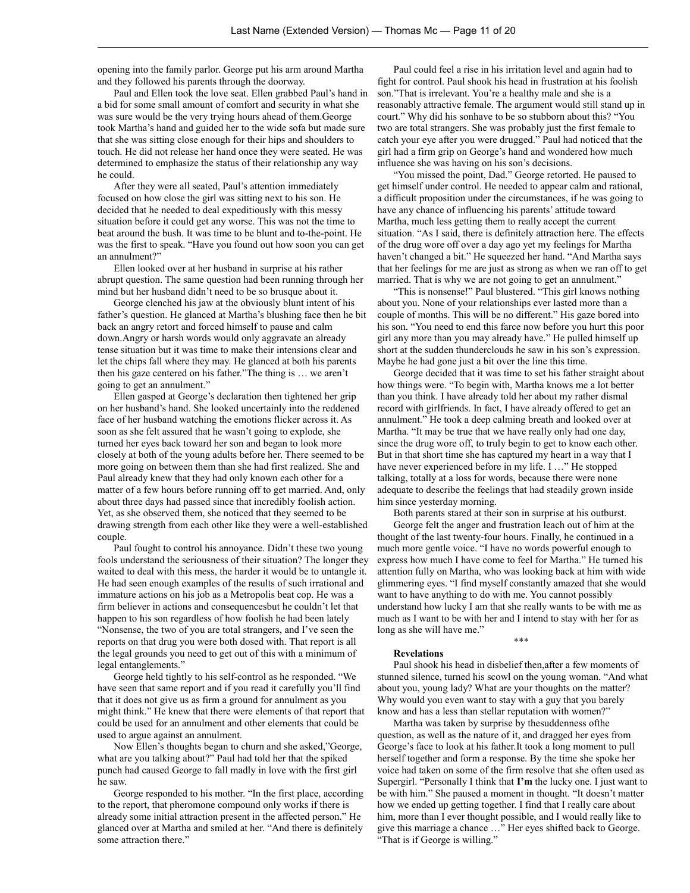opening into the family parlor. George put his arm around Martha and they followed his parents through the doorway.

Paul and Ellen took the love seat. Ellen grabbed Paul's hand in a bid for some small amount of comfort and security in what she was sure would be the very trying hours ahead of them.George took Martha's hand and guided her to the wide sofa but made sure that she was sitting close enough for their hips and shoulders to touch. He did not release her hand once they were seated. He was determined to emphasize the status of their relationship any way he could.

After they were all seated, Paul's attention immediately focused on how close the girl was sitting next to his son. He decided that he needed to deal expeditiously with this messy situation before it could get any worse. This was not the time to beat around the bush. It was time to be blunt and to-the-point. He was the first to speak. "Have you found out how soon you can get an annulment?"

Ellen looked over at her husband in surprise at his rather abrupt question. The same question had been running through her mind but her husband didn't need to be so brusque about it.

George clenched his jaw at the obviously blunt intent of his father's question. He glanced at Martha's blushing face then he bit back an angry retort and forced himself to pause and calm down.Angry or harsh words would only aggravate an already tense situation but it was time to make their intensions clear and let the chips fall where they may. He glanced at both his parents then his gaze centered on his father."The thing is … we aren't going to get an annulment."

Ellen gasped at George's declaration then tightened her grip on her husband's hand. She looked uncertainly into the reddened face of her husband watching the emotions flicker across it. As soon as she felt assured that he wasn't going to explode, she turned her eyes back toward her son and began to look more closely at both of the young adults before her. There seemed to be more going on between them than she had first realized. She and Paul already knew that they had only known each other for a matter of a few hours before running off to get married. And, only about three days had passed since that incredibly foolish action. Yet, as she observed them, she noticed that they seemed to be drawing strength from each other like they were a well-established couple.

Paul fought to control his annoyance. Didn't these two young fools understand the seriousness of their situation? The longer they waited to deal with this mess, the harder it would be to untangle it. He had seen enough examples of the results of such irrational and immature actions on his job as a Metropolis beat cop. He was a firm believer in actions and consequencesbut he couldn't let that happen to his son regardless of how foolish he had been lately "Nonsense, the two of you are total strangers, and I've seen the reports on that drug you were both dosed with. That report is all the legal grounds you need to get out of this with a minimum of legal entanglements."

George held tightly to his self-control as he responded. "We have seen that same report and if you read it carefully you'll find that it does not give us as firm a ground for annulment as you might think." He knew that there were elements of that report that could be used for an annulment and other elements that could be used to argue against an annulment.

Now Ellen's thoughts began to churn and she asked,"George, what are you talking about?" Paul had told her that the spiked punch had caused George to fall madly in love with the first girl he saw.

George responded to his mother. "In the first place, according to the report, that pheromone compound only works if there is already some initial attraction present in the affected person." He glanced over at Martha and smiled at her. "And there is definitely some attraction there."

Paul could feel a rise in his irritation level and again had to fight for control. Paul shook his head in frustration at his foolish son."That is irrelevant. You're a healthy male and she is a reasonably attractive female. The argument would still stand up in court." Why did his sonhave to be so stubborn about this? "You two are total strangers. She was probably just the first female to catch your eye after you were drugged." Paul had noticed that the girl had a firm grip on George's hand and wondered how much influence she was having on his son's decisions.

"You missed the point, Dad." George retorted. He paused to get himself under control. He needed to appear calm and rational, a difficult proposition under the circumstances, if he was going to have any chance of influencing his parents' attitude toward Martha, much less getting them to really accept the current situation. "As I said, there is definitely attraction here. The effects of the drug wore off over a day ago yet my feelings for Martha haven't changed a bit." He squeezed her hand. "And Martha says that her feelings for me are just as strong as when we ran off to get married. That is why we are not going to get an annulment."

"This is nonsense!" Paul blustered. "This girl knows nothing about you. None of your relationships ever lasted more than a couple of months. This will be no different." His gaze bored into his son. "You need to end this farce now before you hurt this poor girl any more than you may already have." He pulled himself up short at the sudden thunderclouds he saw in his son's expression. Maybe he had gone just a bit over the line this time.

George decided that it was time to set his father straight about how things were. "To begin with, Martha knows me a lot better than you think. I have already told her about my rather dismal record with girlfriends. In fact, I have already offered to get an annulment." He took a deep calming breath and looked over at Martha. "It may be true that we have really only had one day, since the drug wore off, to truly begin to get to know each other. But in that short time she has captured my heart in a way that I have never experienced before in my life. I ..." He stopped talking, totally at a loss for words, because there were none adequate to describe the feelings that had steadily grown inside him since yesterday morning.

Both parents stared at their son in surprise at his outburst.

George felt the anger and frustration leach out of him at the thought of the last twenty-four hours. Finally, he continued in a much more gentle voice. "I have no words powerful enough to express how much I have come to feel for Martha." He turned his attention fully on Martha, who was looking back at him with wide glimmering eyes. "I find myself constantly amazed that she would want to have anything to do with me. You cannot possibly understand how lucky I am that she really wants to be with me as much as I want to be with her and I intend to stay with her for as long as she will have me."

### **Revelations**

Paul shook his head in disbelief then,after a few moments of stunned silence, turned his scowl on the young woman. "And what about you, young lady? What are your thoughts on the matter? Why would you even want to stay with a guy that you barely know and has a less than stellar reputation with women?"

\*\*\*

Martha was taken by surprise by thesuddenness ofthe question, as well as the nature of it, and dragged her eyes from George's face to look at his father.It took a long moment to pull herself together and form a response. By the time she spoke her voice had taken on some of the firm resolve that she often used as Supergirl. "Personally I think that **I'm** the lucky one. I just want to be with him." She paused a moment in thought. "It doesn't matter how we ended up getting together. I find that I really care about him, more than I ever thought possible, and I would really like to give this marriage a chance …" Her eyes shifted back to George. "That is if George is willing."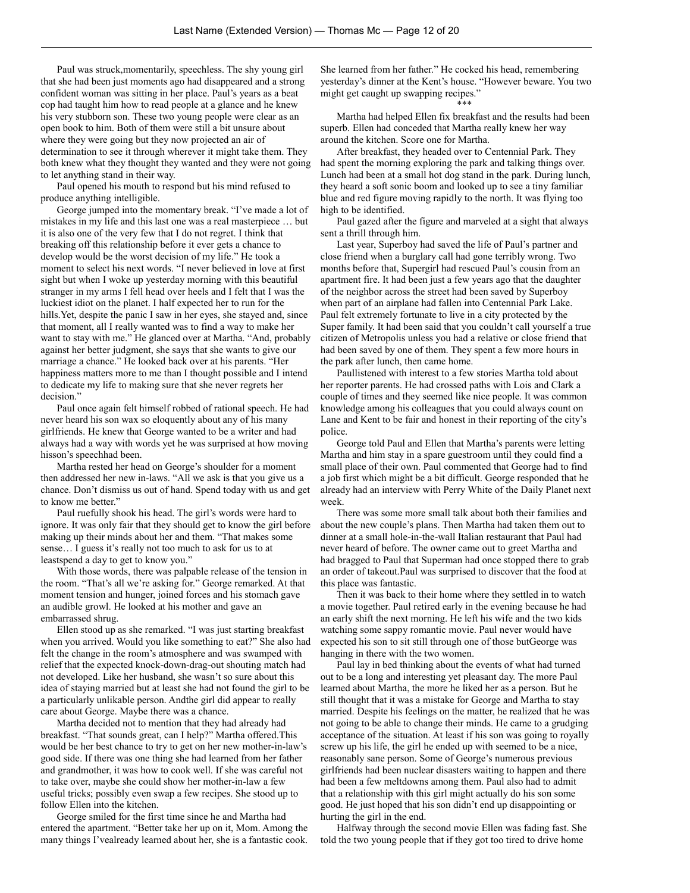Paul was struck,momentarily, speechless. The shy young girl that she had been just moments ago had disappeared and a strong confident woman was sitting in her place. Paul's years as a beat cop had taught him how to read people at a glance and he knew his very stubborn son. These two young people were clear as an open book to him. Both of them were still a bit unsure about where they were going but they now projected an air of determination to see it through wherever it might take them. They both knew what they thought they wanted and they were not going to let anything stand in their way.

Paul opened his mouth to respond but his mind refused to produce anything intelligible.

George jumped into the momentary break. "I've made a lot of mistakes in my life and this last one was a real masterpiece … but it is also one of the very few that I do not regret. I think that breaking off this relationship before it ever gets a chance to develop would be the worst decision of my life." He took a moment to select his next words. "I never believed in love at first sight but when I woke up yesterday morning with this beautiful stranger in my arms I fell head over heels and I felt that I was the luckiest idiot on the planet. I half expected her to run for the hills.Yet, despite the panic I saw in her eyes, she stayed and, since that moment, all I really wanted was to find a way to make her want to stay with me." He glanced over at Martha. "And, probably against her better judgment, she says that she wants to give our marriage a chance." He looked back over at his parents. "Her happiness matters more to me than I thought possible and I intend to dedicate my life to making sure that she never regrets her decision."

Paul once again felt himself robbed of rational speech. He had never heard his son wax so eloquently about any of his many girlfriends. He knew that George wanted to be a writer and had always had a way with words yet he was surprised at how moving hisson's speechhad been.

Martha rested her head on George's shoulder for a moment then addressed her new in-laws. "All we ask is that you give us a chance. Don't dismiss us out of hand. Spend today with us and get to know me better."

Paul ruefully shook his head. The girl's words were hard to ignore. It was only fair that they should get to know the girl before making up their minds about her and them. "That makes some sense… I guess it's really not too much to ask for us to at leastspend a day to get to know you."

With those words, there was palpable release of the tension in the room. "That's all we're asking for." George remarked. At that moment tension and hunger, joined forces and his stomach gave an audible growl. He looked at his mother and gave an embarrassed shrug.

Ellen stood up as she remarked. "I was just starting breakfast when you arrived. Would you like something to eat?" She also had felt the change in the room's atmosphere and was swamped with relief that the expected knock-down-drag-out shouting match had not developed. Like her husband, she wasn't so sure about this idea of staying married but at least she had not found the girl to be a particularly unlikable person. Andthe girl did appear to really care about George. Maybe there was a chance.

Martha decided not to mention that they had already had breakfast. "That sounds great, can I help?" Martha offered.This would be her best chance to try to get on her new mother-in-law's good side. If there was one thing she had learned from her father and grandmother, it was how to cook well. If she was careful not to take over, maybe she could show her mother-in-law a few useful tricks; possibly even swap a few recipes. She stood up to follow Ellen into the kitchen.

George smiled for the first time since he and Martha had entered the apartment. "Better take her up on it, Mom. Among the many things I'vealready learned about her, she is a fantastic cook.

She learned from her father." He cocked his head, remembering yesterday's dinner at the Kent's house. "However beware. You two might get caught up swapping recipes." \*\*\*

Martha had helped Ellen fix breakfast and the results had been superb. Ellen had conceded that Martha really knew her way around the kitchen. Score one for Martha.

After breakfast, they headed over to Centennial Park. They had spent the morning exploring the park and talking things over. Lunch had been at a small hot dog stand in the park. During lunch, they heard a soft sonic boom and looked up to see a tiny familiar blue and red figure moving rapidly to the north. It was flying too high to be identified.

Paul gazed after the figure and marveled at a sight that always sent a thrill through him.

Last year, Superboy had saved the life of Paul's partner and close friend when a burglary call had gone terribly wrong. Two months before that, Supergirl had rescued Paul's cousin from an apartment fire. It had been just a few years ago that the daughter of the neighbor across the street had been saved by Superboy when part of an airplane had fallen into Centennial Park Lake. Paul felt extremely fortunate to live in a city protected by the Super family. It had been said that you couldn't call yourself a true citizen of Metropolis unless you had a relative or close friend that had been saved by one of them. They spent a few more hours in the park after lunch, then came home.

Paullistened with interest to a few stories Martha told about her reporter parents. He had crossed paths with Lois and Clark a couple of times and they seemed like nice people. It was common knowledge among his colleagues that you could always count on Lane and Kent to be fair and honest in their reporting of the city's police.

George told Paul and Ellen that Martha's parents were letting Martha and him stay in a spare guestroom until they could find a small place of their own. Paul commented that George had to find a job first which might be a bit difficult. George responded that he already had an interview with Perry White of the Daily Planet next week.

There was some more small talk about both their families and about the new couple's plans. Then Martha had taken them out to dinner at a small hole-in-the-wall Italian restaurant that Paul had never heard of before. The owner came out to greet Martha and had bragged to Paul that Superman had once stopped there to grab an order of takeout.Paul was surprised to discover that the food at this place was fantastic.

Then it was back to their home where they settled in to watch a movie together. Paul retired early in the evening because he had an early shift the next morning. He left his wife and the two kids watching some sappy romantic movie. Paul never would have expected his son to sit still through one of those butGeorge was hanging in there with the two women.

Paul lay in bed thinking about the events of what had turned out to be a long and interesting yet pleasant day. The more Paul learned about Martha, the more he liked her as a person. But he still thought that it was a mistake for George and Martha to stay married. Despite his feelings on the matter, he realized that he was not going to be able to change their minds. He came to a grudging acceptance of the situation. At least if his son was going to royally screw up his life, the girl he ended up with seemed to be a nice, reasonably sane person. Some of George's numerous previous girlfriends had been nuclear disasters waiting to happen and there had been a few meltdowns among them. Paul also had to admit that a relationship with this girl might actually do his son some good. He just hoped that his son didn't end up disappointing or hurting the girl in the end.

Halfway through the second movie Ellen was fading fast. She told the two young people that if they got too tired to drive home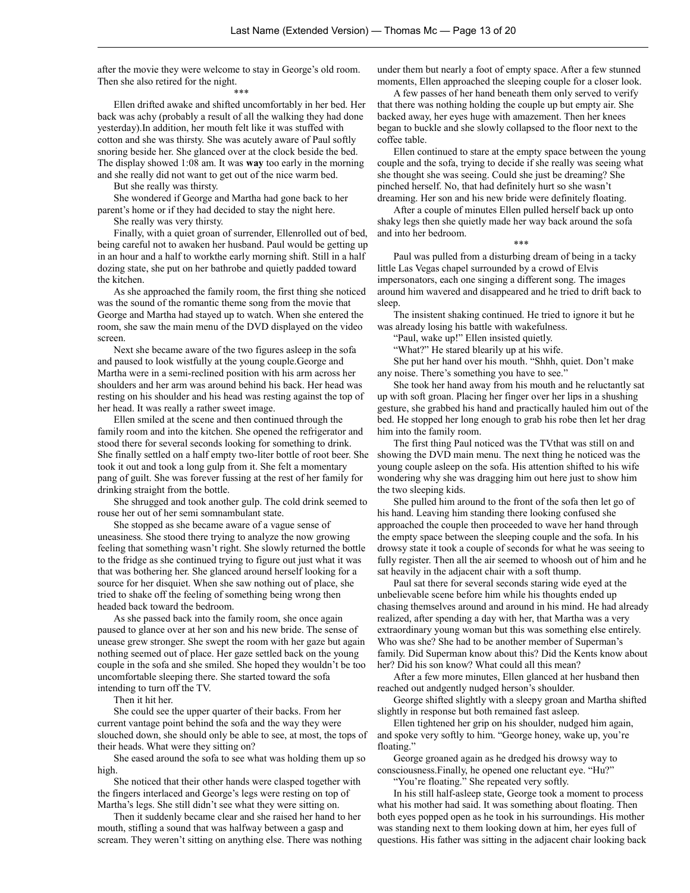after the movie they were welcome to stay in George's old room. Then she also retired for the night.

\*\*\*

Ellen drifted awake and shifted uncomfortably in her bed. Her back was achy (probably a result of all the walking they had done yesterday).In addition, her mouth felt like it was stuffed with cotton and she was thirsty. She was acutely aware of Paul softly snoring beside her. She glanced over at the clock beside the bed. The display showed 1:08 am. It was **way** too early in the morning and she really did not want to get out of the nice warm bed.

But she really was thirsty.

She wondered if George and Martha had gone back to her parent's home or if they had decided to stay the night here.

She really was very thirsty.

Finally, with a quiet groan of surrender, Ellenrolled out of bed, being careful not to awaken her husband. Paul would be getting up in an hour and a half to workthe early morning shift. Still in a half dozing state, she put on her bathrobe and quietly padded toward the kitchen.

As she approached the family room, the first thing she noticed was the sound of the romantic theme song from the movie that George and Martha had stayed up to watch. When she entered the room, she saw the main menu of the DVD displayed on the video screen.

Next she became aware of the two figures asleep in the sofa and paused to look wistfully at the young couple.George and Martha were in a semi-reclined position with his arm across her shoulders and her arm was around behind his back. Her head was resting on his shoulder and his head was resting against the top of her head. It was really a rather sweet image.

Ellen smiled at the scene and then continued through the family room and into the kitchen. She opened the refrigerator and stood there for several seconds looking for something to drink. She finally settled on a half empty two-liter bottle of root beer. She took it out and took a long gulp from it. She felt a momentary pang of guilt. She was forever fussing at the rest of her family for drinking straight from the bottle.

She shrugged and took another gulp. The cold drink seemed to rouse her out of her semi somnambulant state.

She stopped as she became aware of a vague sense of uneasiness. She stood there trying to analyze the now growing feeling that something wasn't right. She slowly returned the bottle to the fridge as she continued trying to figure out just what it was that was bothering her. She glanced around herself looking for a source for her disquiet. When she saw nothing out of place, she tried to shake off the feeling of something being wrong then headed back toward the bedroom.

As she passed back into the family room, she once again paused to glance over at her son and his new bride. The sense of unease grew stronger. She swept the room with her gaze but again nothing seemed out of place. Her gaze settled back on the young couple in the sofa and she smiled. She hoped they wouldn't be too uncomfortable sleeping there. She started toward the sofa intending to turn off the TV.

Then it hit her.

She could see the upper quarter of their backs. From her current vantage point behind the sofa and the way they were slouched down, she should only be able to see, at most, the tops of their heads. What were they sitting on?

She eased around the sofa to see what was holding them up so high.

She noticed that their other hands were clasped together with the fingers interlaced and George's legs were resting on top of Martha's legs. She still didn't see what they were sitting on.

Then it suddenly became clear and she raised her hand to her mouth, stifling a sound that was halfway between a gasp and scream. They weren't sitting on anything else. There was nothing under them but nearly a foot of empty space. After a few stunned moments, Ellen approached the sleeping couple for a closer look.

A few passes of her hand beneath them only served to verify that there was nothing holding the couple up but empty air. She backed away, her eyes huge with amazement. Then her knees began to buckle and she slowly collapsed to the floor next to the coffee table.

Ellen continued to stare at the empty space between the young couple and the sofa, trying to decide if she really was seeing what she thought she was seeing. Could she just be dreaming? She pinched herself. No, that had definitely hurt so she wasn't dreaming. Her son and his new bride were definitely floating.

After a couple of minutes Ellen pulled herself back up onto shaky legs then she quietly made her way back around the sofa and into her bedroom. \*\*\*

Paul was pulled from a disturbing dream of being in a tacky little Las Vegas chapel surrounded by a crowd of Elvis impersonators, each one singing a different song. The images around him wavered and disappeared and he tried to drift back to sleep.

The insistent shaking continued. He tried to ignore it but he was already losing his battle with wakefulness.

"Paul, wake up!" Ellen insisted quietly.

"What?" He stared blearily up at his wife.

She put her hand over his mouth. "Shhh, quiet. Don't make any noise. There's something you have to see."

She took her hand away from his mouth and he reluctantly sat up with soft groan. Placing her finger over her lips in a shushing gesture, she grabbed his hand and practically hauled him out of the bed. He stopped her long enough to grab his robe then let her drag him into the family room.

The first thing Paul noticed was the TVthat was still on and showing the DVD main menu. The next thing he noticed was the young couple asleep on the sofa. His attention shifted to his wife wondering why she was dragging him out here just to show him the two sleeping kids.

She pulled him around to the front of the sofa then let go of his hand. Leaving him standing there looking confused she approached the couple then proceeded to wave her hand through the empty space between the sleeping couple and the sofa. In his drowsy state it took a couple of seconds for what he was seeing to fully register. Then all the air seemed to whoosh out of him and he sat heavily in the adjacent chair with a soft thump.

Paul sat there for several seconds staring wide eyed at the unbelievable scene before him while his thoughts ended up chasing themselves around and around in his mind. He had already realized, after spending a day with her, that Martha was a very extraordinary young woman but this was something else entirely. Who was she? She had to be another member of Superman's family. Did Superman know about this? Did the Kents know about her? Did his son know? What could all this mean?

After a few more minutes, Ellen glanced at her husband then reached out andgently nudged herson's shoulder.

George shifted slightly with a sleepy groan and Martha shifted slightly in response but both remained fast asleep.

Ellen tightened her grip on his shoulder, nudged him again, and spoke very softly to him. "George honey, wake up, you're floating."

George groaned again as he dredged his drowsy way to consciousness.Finally, he opened one reluctant eye. "Hu?"

"You're floating." She repeated very softly.

In his still half-asleep state, George took a moment to process what his mother had said. It was something about floating. Then both eyes popped open as he took in his surroundings. His mother was standing next to them looking down at him, her eyes full of questions. His father was sitting in the adjacent chair looking back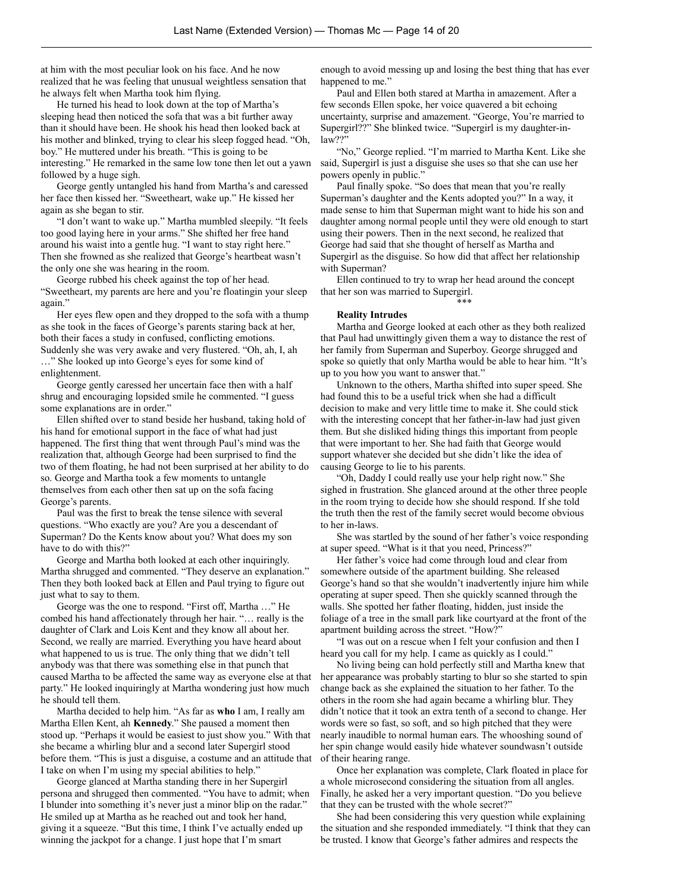at him with the most peculiar look on his face. And he now realized that he was feeling that unusual weightless sensation that he always felt when Martha took him flying.

He turned his head to look down at the top of Martha's sleeping head then noticed the sofa that was a bit further away than it should have been. He shook his head then looked back at his mother and blinked, trying to clear his sleep fogged head. "Oh, boy." He muttered under his breath. "This is going to be interesting." He remarked in the same low tone then let out a yawn followed by a huge sigh.

George gently untangled his hand from Martha's and caressed her face then kissed her. "Sweetheart, wake up." He kissed her again as she began to stir.

"I don't want to wake up." Martha mumbled sleepily. "It feels too good laying here in your arms." She shifted her free hand around his waist into a gentle hug. "I want to stay right here." Then she frowned as she realized that George's heartbeat wasn't the only one she was hearing in the room.

George rubbed his cheek against the top of her head. "Sweetheart, my parents are here and you're floatingin your sleep again."

Her eyes flew open and they dropped to the sofa with a thump as she took in the faces of George's parents staring back at her, both their faces a study in confused, conflicting emotions. Suddenly she was very awake and very flustered. "Oh, ah, I, ah …" She looked up into George's eyes for some kind of enlightenment.

George gently caressed her uncertain face then with a half shrug and encouraging lopsided smile he commented. "I guess some explanations are in order."

Ellen shifted over to stand beside her husband, taking hold of his hand for emotional support in the face of what had just happened. The first thing that went through Paul's mind was the realization that, although George had been surprised to find the two of them floating, he had not been surprised at her ability to do so. George and Martha took a few moments to untangle themselves from each other then sat up on the sofa facing George's parents.

Paul was the first to break the tense silence with several questions. "Who exactly are you? Are you a descendant of Superman? Do the Kents know about you? What does my son have to do with this?"

George and Martha both looked at each other inquiringly. Martha shrugged and commented. "They deserve an explanation." Then they both looked back at Ellen and Paul trying to figure out just what to say to them.

George was the one to respond. "First off, Martha …" He combed his hand affectionately through her hair. "… really is the daughter of Clark and Lois Kent and they know all about her. Second, we really are married. Everything you have heard about what happened to us is true. The only thing that we didn't tell anybody was that there was something else in that punch that caused Martha to be affected the same way as everyone else at that party." He looked inquiringly at Martha wondering just how much he should tell them.

Martha decided to help him. "As far as **who** I am, I really am Martha Ellen Kent, ah **Kennedy**." She paused a moment then stood up. "Perhaps it would be easiest to just show you." With that she became a whirling blur and a second later Supergirl stood before them. "This is just a disguise, a costume and an attitude that I take on when I'm using my special abilities to help."

George glanced at Martha standing there in her Supergirl persona and shrugged then commented. "You have to admit; when I blunder into something it's never just a minor blip on the radar." He smiled up at Martha as he reached out and took her hand, giving it a squeeze. "But this time, I think I've actually ended up winning the jackpot for a change. I just hope that I'm smart

enough to avoid messing up and losing the best thing that has ever happened to me."

Paul and Ellen both stared at Martha in amazement. After a few seconds Ellen spoke, her voice quavered a bit echoing uncertainty, surprise and amazement. "George, You're married to Supergirl??" She blinked twice. "Supergirl is my daughter-inlaw??"

"No," George replied. "I'm married to Martha Kent. Like she said, Supergirl is just a disguise she uses so that she can use her powers openly in public."

Paul finally spoke. "So does that mean that you're really Superman's daughter and the Kents adopted you?" In a way, it made sense to him that Superman might want to hide his son and daughter among normal people until they were old enough to start using their powers. Then in the next second, he realized that George had said that she thought of herself as Martha and Supergirl as the disguise. So how did that affect her relationship with Superman?

Ellen continued to try to wrap her head around the concept that her son was married to Supergirl.

\*\*\*

## **Reality Intrudes**

Martha and George looked at each other as they both realized that Paul had unwittingly given them a way to distance the rest of her family from Superman and Superboy. George shrugged and spoke so quietly that only Martha would be able to hear him. "It's up to you how you want to answer that."

Unknown to the others, Martha shifted into super speed. She had found this to be a useful trick when she had a difficult decision to make and very little time to make it. She could stick with the interesting concept that her father-in-law had just given them. But she disliked hiding things this important from people that were important to her. She had faith that George would support whatever she decided but she didn't like the idea of causing George to lie to his parents.

"Oh, Daddy I could really use your help right now." She sighed in frustration. She glanced around at the other three people in the room trying to decide how she should respond. If she told the truth then the rest of the family secret would become obvious to her in-laws.

She was startled by the sound of her father's voice responding at super speed. "What is it that you need, Princess?"

Her father's voice had come through loud and clear from somewhere outside of the apartment building. She released George's hand so that she wouldn't inadvertently injure him while operating at super speed. Then she quickly scanned through the walls. She spotted her father floating, hidden, just inside the foliage of a tree in the small park like courtyard at the front of the apartment building across the street. "How?"

"I was out on a rescue when I felt your confusion and then I heard you call for my help. I came as quickly as I could."

No living being can hold perfectly still and Martha knew that her appearance was probably starting to blur so she started to spin change back as she explained the situation to her father. To the others in the room she had again became a whirling blur. They didn't notice that it took an extra tenth of a second to change. Her words were so fast, so soft, and so high pitched that they were nearly inaudible to normal human ears. The whooshing sound of her spin change would easily hide whatever soundwasn't outside of their hearing range.

Once her explanation was complete, Clark floated in place for a whole microsecond considering the situation from all angles. Finally, he asked her a very important question. "Do you believe that they can be trusted with the whole secret?"

She had been considering this very question while explaining the situation and she responded immediately. "I think that they can be trusted. I know that George's father admires and respects the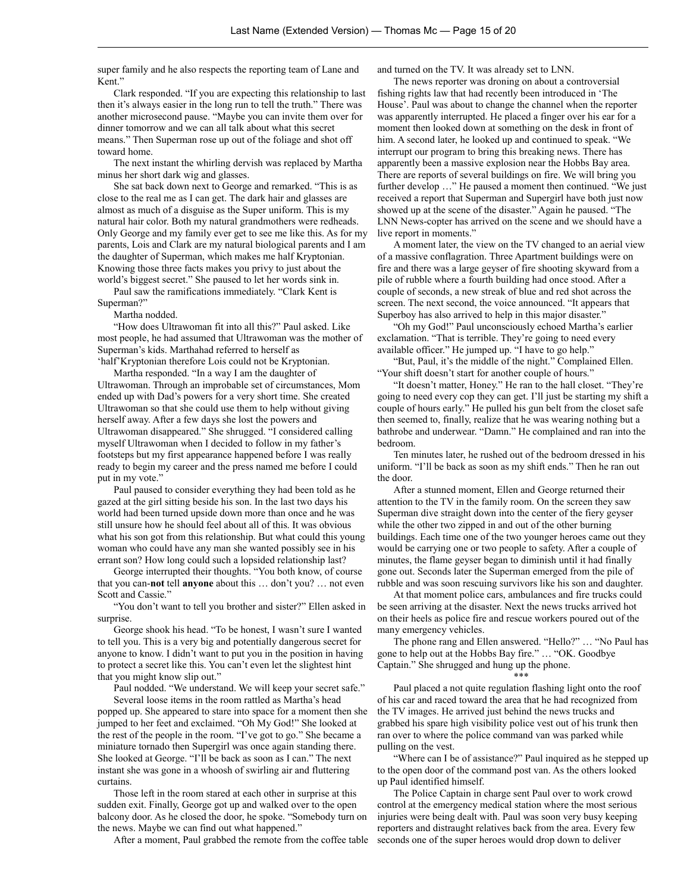super family and he also respects the reporting team of Lane and Kent."

Clark responded. "If you are expecting this relationship to last then it's always easier in the long run to tell the truth." There was another microsecond pause. "Maybe you can invite them over for dinner tomorrow and we can all talk about what this secret means." Then Superman rose up out of the foliage and shot off toward home.

The next instant the whirling dervish was replaced by Martha minus her short dark wig and glasses.

She sat back down next to George and remarked. "This is as close to the real me as I can get. The dark hair and glasses are almost as much of a disguise as the Super uniform. This is my natural hair color. Both my natural grandmothers were redheads. Only George and my family ever get to see me like this. As for my parents, Lois and Clark are my natural biological parents and I am the daughter of Superman, which makes me half Kryptonian. Knowing those three facts makes you privy to just about the world's biggest secret." She paused to let her words sink in.

Paul saw the ramifications immediately. "Clark Kent is Superman?"

Martha nodded.

"How does Ultrawoman fit into all this?" Paul asked. Like most people, he had assumed that Ultrawoman was the mother of Superman's kids. Marthahad referred to herself as

'half'Kryptonian therefore Lois could not be Kryptonian. Martha responded. "In a way I am the daughter of

Ultrawoman. Through an improbable set of circumstances, Mom ended up with Dad's powers for a very short time. She created Ultrawoman so that she could use them to help without giving herself away. After a few days she lost the powers and Ultrawoman disappeared." She shrugged. "I considered calling myself Ultrawoman when I decided to follow in my father's footsteps but my first appearance happened before I was really ready to begin my career and the press named me before I could put in my vote."

Paul paused to consider everything they had been told as he gazed at the girl sitting beside his son. In the last two days his world had been turned upside down more than once and he was still unsure how he should feel about all of this. It was obvious what his son got from this relationship. But what could this young woman who could have any man she wanted possibly see in his errant son? How long could such a lopsided relationship last?

George interrupted their thoughts. "You both know, of course that you can-**not** tell **anyone** about this … don't you? … not even Scott and Cassie."

"You don't want to tell you brother and sister?" Ellen asked in surprise.

George shook his head. "To be honest, I wasn't sure I wanted to tell you. This is a very big and potentially dangerous secret for anyone to know. I didn't want to put you in the position in having to protect a secret like this. You can't even let the slightest hint that you might know slip out."

Paul nodded. "We understand. We will keep your secret safe."

Several loose items in the room rattled as Martha's head popped up. She appeared to stare into space for a moment then she jumped to her feet and exclaimed. "Oh My God!" She looked at the rest of the people in the room. "I've got to go." She became a miniature tornado then Supergirl was once again standing there. She looked at George. "I'll be back as soon as I can." The next instant she was gone in a whoosh of swirling air and fluttering curtains.

Those left in the room stared at each other in surprise at this sudden exit. Finally, George got up and walked over to the open balcony door. As he closed the door, he spoke. "Somebody turn on the news. Maybe we can find out what happened."

After a moment, Paul grabbed the remote from the coffee table

and turned on the TV. It was already set to LNN.

The news reporter was droning on about a controversial fishing rights law that had recently been introduced in 'The House'. Paul was about to change the channel when the reporter was apparently interrupted. He placed a finger over his ear for a moment then looked down at something on the desk in front of him. A second later, he looked up and continued to speak. "We interrupt our program to bring this breaking news. There has apparently been a massive explosion near the Hobbs Bay area. There are reports of several buildings on fire. We will bring you further develop …" He paused a moment then continued. "We just received a report that Superman and Supergirl have both just now showed up at the scene of the disaster." Again he paused. "The LNN News-copter has arrived on the scene and we should have a live report in moments."

A moment later, the view on the TV changed to an aerial view of a massive conflagration. Three Apartment buildings were on fire and there was a large geyser of fire shooting skyward from a pile of rubble where a fourth building had once stood. After a couple of seconds, a new streak of blue and red shot across the screen. The next second, the voice announced. "It appears that Superboy has also arrived to help in this major disaster."

"Oh my God!" Paul unconsciously echoed Martha's earlier exclamation. "That is terrible. They're going to need every available officer." He jumped up. "I have to go help."

"But, Paul, it's the middle of the night." Complained Ellen. "Your shift doesn't start for another couple of hours."

"It doesn't matter, Honey." He ran to the hall closet. "They're going to need every cop they can get. I'll just be starting my shift a couple of hours early." He pulled his gun belt from the closet safe then seemed to, finally, realize that he was wearing nothing but a bathrobe and underwear. "Damn." He complained and ran into the bedroom.

Ten minutes later, he rushed out of the bedroom dressed in his uniform. "I'll be back as soon as my shift ends." Then he ran out the door.

After a stunned moment, Ellen and George returned their attention to the TV in the family room. On the screen they saw Superman dive straight down into the center of the fiery geyser while the other two zipped in and out of the other burning buildings. Each time one of the two younger heroes came out they would be carrying one or two people to safety. After a couple of minutes, the flame geyser began to diminish until it had finally gone out. Seconds later the Superman emerged from the pile of rubble and was soon rescuing survivors like his son and daughter.

At that moment police cars, ambulances and fire trucks could be seen arriving at the disaster. Next the news trucks arrived hot on their heels as police fire and rescue workers poured out of the many emergency vehicles.

The phone rang and Ellen answered. "Hello?" … "No Paul has gone to help out at the Hobbs Bay fire." … "OK. Goodbye Captain." She shrugged and hung up the phone.

\*\*\* Paul placed a not quite regulation flashing light onto the roof of his car and raced toward the area that he had recognized from the TV images. He arrived just behind the news trucks and grabbed his spare high visibility police vest out of his trunk then ran over to where the police command van was parked while pulling on the vest.

"Where can I be of assistance?" Paul inquired as he stepped up to the open door of the command post van. As the others looked up Paul identified himself.

The Police Captain in charge sent Paul over to work crowd control at the emergency medical station where the most serious injuries were being dealt with. Paul was soon very busy keeping reporters and distraught relatives back from the area. Every few seconds one of the super heroes would drop down to deliver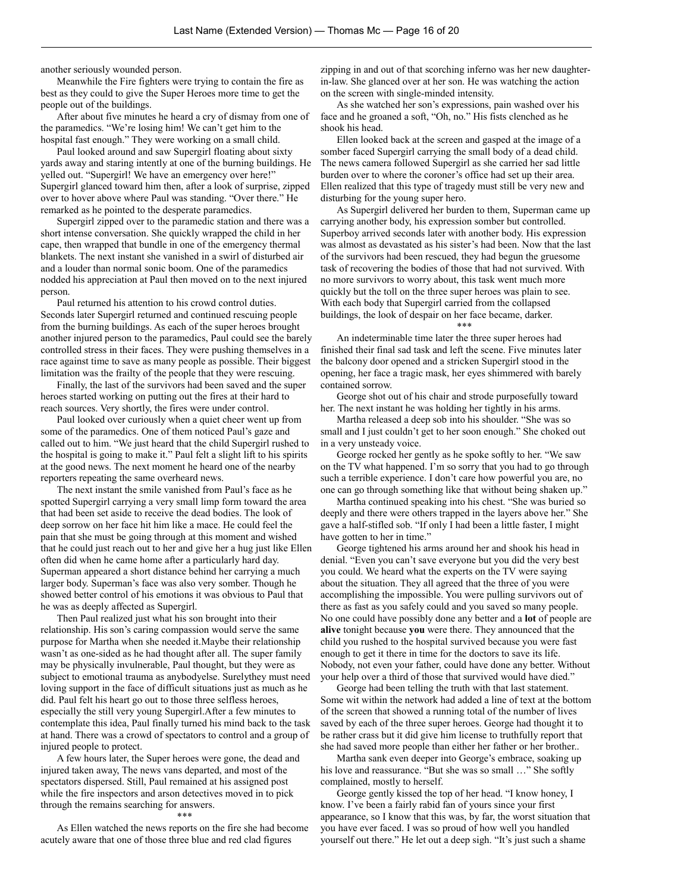another seriously wounded person.

Meanwhile the Fire fighters were trying to contain the fire as best as they could to give the Super Heroes more time to get the people out of the buildings.

After about five minutes he heard a cry of dismay from one of the paramedics. "We're losing him! We can't get him to the hospital fast enough." They were working on a small child.

Paul looked around and saw Supergirl floating about sixty yards away and staring intently at one of the burning buildings. He yelled out. "Supergirl! We have an emergency over here!" Supergirl glanced toward him then, after a look of surprise, zipped over to hover above where Paul was standing. "Over there." He remarked as he pointed to the desperate paramedics.

Supergirl zipped over to the paramedic station and there was a short intense conversation. She quickly wrapped the child in her cape, then wrapped that bundle in one of the emergency thermal blankets. The next instant she vanished in a swirl of disturbed air and a louder than normal sonic boom. One of the paramedics nodded his appreciation at Paul then moved on to the next injured person.

Paul returned his attention to his crowd control duties. Seconds later Supergirl returned and continued rescuing people from the burning buildings. As each of the super heroes brought another injured person to the paramedics, Paul could see the barely controlled stress in their faces. They were pushing themselves in a race against time to save as many people as possible. Their biggest limitation was the frailty of the people that they were rescuing.

Finally, the last of the survivors had been saved and the super heroes started working on putting out the fires at their hard to reach sources. Very shortly, the fires were under control.

Paul looked over curiously when a quiet cheer went up from some of the paramedics. One of them noticed Paul's gaze and called out to him. "We just heard that the child Supergirl rushed to the hospital is going to make it." Paul felt a slight lift to his spirits at the good news. The next moment he heard one of the nearby reporters repeating the same overheard news.

The next instant the smile vanished from Paul's face as he spotted Supergirl carrying a very small limp form toward the area that had been set aside to receive the dead bodies. The look of deep sorrow on her face hit him like a mace. He could feel the pain that she must be going through at this moment and wished that he could just reach out to her and give her a hug just like Ellen often did when he came home after a particularly hard day. Superman appeared a short distance behind her carrying a much larger body. Superman's face was also very somber. Though he showed better control of his emotions it was obvious to Paul that he was as deeply affected as Supergirl.

Then Paul realized just what his son brought into their relationship. His son's caring compassion would serve the same purpose for Martha when she needed it.Maybe their relationship wasn't as one-sided as he had thought after all. The super family may be physically invulnerable, Paul thought, but they were as subject to emotional trauma as anybodyelse. Surelythey must need loving support in the face of difficult situations just as much as he did. Paul felt his heart go out to those three selfless heroes, especially the still very young Supergirl.After a few minutes to contemplate this idea, Paul finally turned his mind back to the task at hand. There was a crowd of spectators to control and a group of injured people to protect.

A few hours later, the Super heroes were gone, the dead and injured taken away, The news vans departed, and most of the spectators dispersed. Still, Paul remained at his assigned post while the fire inspectors and arson detectives moved in to pick through the remains searching for answers.

\*\*\*

As Ellen watched the news reports on the fire she had become acutely aware that one of those three blue and red clad figures

zipping in and out of that scorching inferno was her new daughterin-law. She glanced over at her son. He was watching the action on the screen with single-minded intensity.

As she watched her son's expressions, pain washed over his face and he groaned a soft, "Oh, no." His fists clenched as he shook his head.

Ellen looked back at the screen and gasped at the image of a somber faced Supergirl carrying the small body of a dead child. The news camera followed Supergirl as she carried her sad little burden over to where the coroner's office had set up their area. Ellen realized that this type of tragedy must still be very new and disturbing for the young super hero.

As Supergirl delivered her burden to them, Superman came up carrying another body, his expression somber but controlled. Superboy arrived seconds later with another body. His expression was almost as devastated as his sister's had been. Now that the last of the survivors had been rescued, they had begun the gruesome task of recovering the bodies of those that had not survived. With no more survivors to worry about, this task went much more quickly but the toll on the three super heroes was plain to see. With each body that Supergirl carried from the collapsed buildings, the look of despair on her face became, darker.

\*\*\*

An indeterminable time later the three super heroes had finished their final sad task and left the scene. Five minutes later the balcony door opened and a stricken Supergirl stood in the opening, her face a tragic mask, her eyes shimmered with barely contained sorrow.

George shot out of his chair and strode purposefully toward her. The next instant he was holding her tightly in his arms.

Martha released a deep sob into his shoulder. "She was so small and I just couldn't get to her soon enough." She choked out in a very unsteady voice.

George rocked her gently as he spoke softly to her. "We saw on the TV what happened. I'm so sorry that you had to go through such a terrible experience. I don't care how powerful you are, no one can go through something like that without being shaken up."

Martha continued speaking into his chest. "She was buried so deeply and there were others trapped in the layers above her." She gave a half-stifled sob. "If only I had been a little faster, I might have gotten to her in time."

George tightened his arms around her and shook his head in denial. "Even you can't save everyone but you did the very best you could. We heard what the experts on the TV were saying about the situation. They all agreed that the three of you were accomplishing the impossible. You were pulling survivors out of there as fast as you safely could and you saved so many people. No one could have possibly done any better and a **lot** of people are **alive** tonight because **you** were there. They announced that the child you rushed to the hospital survived because you were fast enough to get it there in time for the doctors to save its life. Nobody, not even your father, could have done any better. Without your help over a third of those that survived would have died."

George had been telling the truth with that last statement. Some wit within the network had added a line of text at the bottom of the screen that showed a running total of the number of lives saved by each of the three super heroes. George had thought it to be rather crass but it did give him license to truthfully report that she had saved more people than either her father or her brother..

Martha sank even deeper into George's embrace, soaking up his love and reassurance. "But she was so small ..." She softly complained, mostly to herself.

George gently kissed the top of her head. "I know honey, I know. I've been a fairly rabid fan of yours since your first appearance, so I know that this was, by far, the worst situation that you have ever faced. I was so proud of how well you handled yourself out there." He let out a deep sigh. "It's just such a shame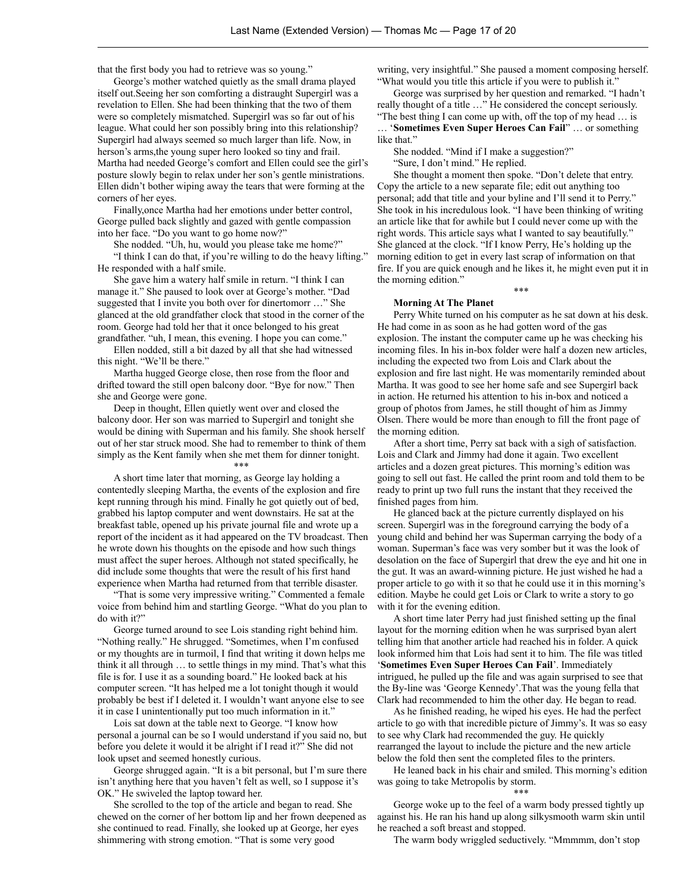that the first body you had to retrieve was so young."

George's mother watched quietly as the small drama played itself out.Seeing her son comforting a distraught Supergirl was a revelation to Ellen. She had been thinking that the two of them were so completely mismatched. Supergirl was so far out of his league. What could her son possibly bring into this relationship? Supergirl had always seemed so much larger than life. Now, in herson's arms,the young super hero looked so tiny and frail. Martha had needed George's comfort and Ellen could see the girl's posture slowly begin to relax under her son's gentle ministrations. Ellen didn't bother wiping away the tears that were forming at the corners of her eyes.

Finally,once Martha had her emotions under better control, George pulled back slightly and gazed with gentle compassion into her face. "Do you want to go home now?"

She nodded. "Uh, hu, would you please take me home?"

"I think I can do that, if you're willing to do the heavy lifting." He responded with a half smile.

She gave him a watery half smile in return. "I think I can manage it." She paused to look over at George's mother. "Dad suggested that I invite you both over for dinertomorr …" She glanced at the old grandfather clock that stood in the corner of the room. George had told her that it once belonged to his great grandfather. "uh, I mean, this evening. I hope you can come."

Ellen nodded, still a bit dazed by all that she had witnessed this night. "We'll be there."

Martha hugged George close, then rose from the floor and drifted toward the still open balcony door. "Bye for now." Then she and George were gone.

Deep in thought, Ellen quietly went over and closed the balcony door. Her son was married to Supergirl and tonight she would be dining with Superman and his family. She shook herself out of her star struck mood. She had to remember to think of them simply as the Kent family when she met them for dinner tonight.

\*\*\*

A short time later that morning, as George lay holding a contentedly sleeping Martha, the events of the explosion and fire kept running through his mind. Finally he got quietly out of bed, grabbed his laptop computer and went downstairs. He sat at the breakfast table, opened up his private journal file and wrote up a report of the incident as it had appeared on the TV broadcast. Then he wrote down his thoughts on the episode and how such things must affect the super heroes. Although not stated specifically, he did include some thoughts that were the result of his first hand experience when Martha had returned from that terrible disaster.

"That is some very impressive writing." Commented a female voice from behind him and startling George. "What do you plan to do with it?"

George turned around to see Lois standing right behind him. "Nothing really." He shrugged. "Sometimes, when I'm confused or my thoughts are in turmoil, I find that writing it down helps me think it all through … to settle things in my mind. That's what this file is for. I use it as a sounding board." He looked back at his computer screen. "It has helped me a lot tonight though it would probably be best if I deleted it. I wouldn't want anyone else to see it in case I unintentionally put too much information in it."

Lois sat down at the table next to George. "I know how personal a journal can be so I would understand if you said no, but before you delete it would it be alright if I read it?" She did not look upset and seemed honestly curious.

George shrugged again. "It is a bit personal, but I'm sure there isn't anything here that you haven't felt as well, so I suppose it's OK." He swiveled the laptop toward her.

She scrolled to the top of the article and began to read. She chewed on the corner of her bottom lip and her frown deepened as she continued to read. Finally, she looked up at George, her eyes shimmering with strong emotion. "That is some very good

writing, very insightful." She paused a moment composing herself. "What would you title this article if you were to publish it."

George was surprised by her question and remarked. "I hadn't really thought of a title …" He considered the concept seriously. "The best thing I can come up with, off the top of my head … is

… '**Sometimes Even Super Heroes Can Fail**" … or something like that."

She nodded. "Mind if I make a suggestion?"

"Sure, I don't mind." He replied.

She thought a moment then spoke. "Don't delete that entry. Copy the article to a new separate file; edit out anything too personal; add that title and your byline and I'll send it to Perry." She took in his incredulous look. "I have been thinking of writing an article like that for awhile but I could never come up with the right words. This article says what I wanted to say beautifully." She glanced at the clock. "If I know Perry, He's holding up the morning edition to get in every last scrap of information on that fire. If you are quick enough and he likes it, he might even put it in the morning edition."

\*\*\*

**Morning At The Planet**

Perry White turned on his computer as he sat down at his desk. He had come in as soon as he had gotten word of the gas explosion. The instant the computer came up he was checking his incoming files. In his in-box folder were half a dozen new articles, including the expected two from Lois and Clark about the explosion and fire last night. He was momentarily reminded about Martha. It was good to see her home safe and see Supergirl back in action. He returned his attention to his in-box and noticed a group of photos from James, he still thought of him as Jimmy Olsen. There would be more than enough to fill the front page of the morning edition.

After a short time, Perry sat back with a sigh of satisfaction. Lois and Clark and Jimmy had done it again. Two excellent articles and a dozen great pictures. This morning's edition was going to sell out fast. He called the print room and told them to be ready to print up two full runs the instant that they received the finished pages from him.

He glanced back at the picture currently displayed on his screen. Supergirl was in the foreground carrying the body of a young child and behind her was Superman carrying the body of a woman. Superman's face was very somber but it was the look of desolation on the face of Supergirl that drew the eye and hit one in the gut. It was an award-winning picture. He just wished he had a proper article to go with it so that he could use it in this morning's edition. Maybe he could get Lois or Clark to write a story to go with it for the evening edition.

A short time later Perry had just finished setting up the final layout for the morning edition when he was surprised byan alert telling him that another article had reached his in folder. A quick look informed him that Lois had sent it to him. The file was titled '**Sometimes Even Super Heroes Can Fail**'. Immediately intrigued, he pulled up the file and was again surprised to see that the By-line was 'George Kennedy'.That was the young fella that Clark had recommended to him the other day. He began to read.

As he finished reading, he wiped his eyes. He had the perfect article to go with that incredible picture of Jimmy's. It was so easy to see why Clark had recommended the guy. He quickly rearranged the layout to include the picture and the new article below the fold then sent the completed files to the printers.

He leaned back in his chair and smiled. This morning's edition was going to take Metropolis by storm. \*\*\*

George woke up to the feel of a warm body pressed tightly up against his. He ran his hand up along silkysmooth warm skin until he reached a soft breast and stopped.

The warm body wriggled seductively. "Mmmmm, don't stop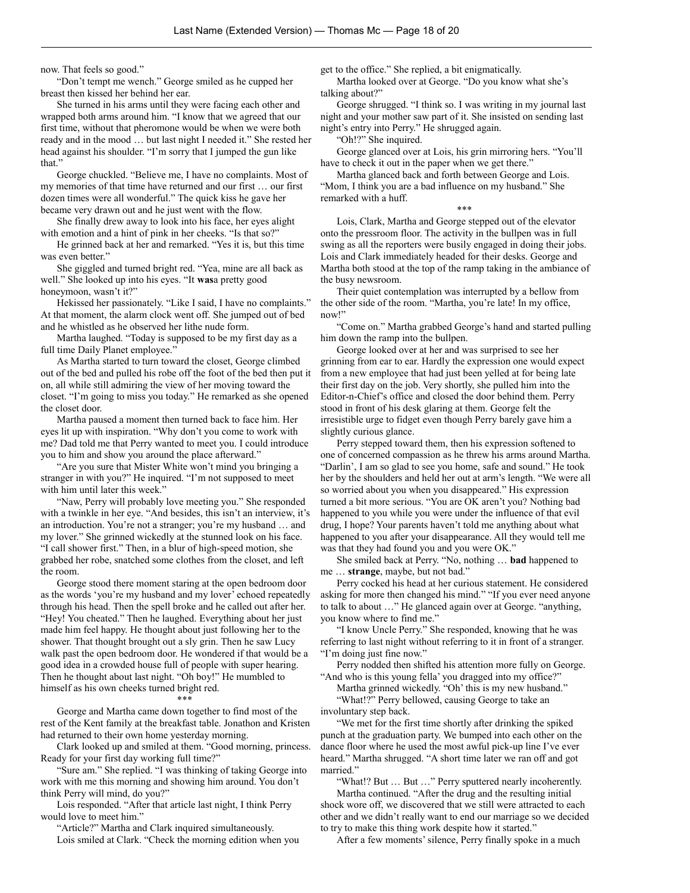now. That feels so good."

"Don't tempt me wench." George smiled as he cupped her breast then kissed her behind her ear.

She turned in his arms until they were facing each other and wrapped both arms around him. "I know that we agreed that our first time, without that pheromone would be when we were both ready and in the mood … but last night I needed it." She rested her head against his shoulder. "I'm sorry that I jumped the gun like that."

George chuckled. "Believe me, I have no complaints. Most of my memories of that time have returned and our first … our first dozen times were all wonderful." The quick kiss he gave her became very drawn out and he just went with the flow.

She finally drew away to look into his face, her eyes alight with emotion and a hint of pink in her cheeks. "Is that so?"

He grinned back at her and remarked. "Yes it is, but this time was even better."

She giggled and turned bright red. "Yea, mine are all back as well." She looked up into his eyes. "It **was**a pretty good honeymoon, wasn't it?"

Hekissed her passionately. "Like I said, I have no complaints." At that moment, the alarm clock went off. She jumped out of bed and he whistled as he observed her lithe nude form.

Martha laughed. "Today is supposed to be my first day as a full time Daily Planet employee."

As Martha started to turn toward the closet, George climbed out of the bed and pulled his robe off the foot of the bed then put it on, all while still admiring the view of her moving toward the closet. "I'm going to miss you today." He remarked as she opened the closet door.

Martha paused a moment then turned back to face him. Her eyes lit up with inspiration. "Why don't you come to work with me? Dad told me that Perry wanted to meet you. I could introduce you to him and show you around the place afterward."

"Are you sure that Mister White won't mind you bringing a stranger in with you?" He inquired. "I'm not supposed to meet with him until later this week."

"Naw, Perry will probably love meeting you." She responded with a twinkle in her eye. "And besides, this isn't an interview, it's an introduction. You're not a stranger; you're my husband … and my lover." She grinned wickedly at the stunned look on his face. "I call shower first." Then, in a blur of high-speed motion, she grabbed her robe, snatched some clothes from the closet, and left the room.

George stood there moment staring at the open bedroom door as the words 'you're my husband and my lover' echoed repeatedly through his head. Then the spell broke and he called out after her. "Hey! You cheated." Then he laughed. Everything about her just made him feel happy. He thought about just following her to the shower. That thought brought out a sly grin. Then he saw Lucy walk past the open bedroom door. He wondered if that would be a good idea in a crowded house full of people with super hearing. Then he thought about last night. "Oh boy!" He mumbled to himself as his own cheeks turned bright red.

\*\*\*

George and Martha came down together to find most of the rest of the Kent family at the breakfast table. Jonathon and Kristen had returned to their own home yesterday morning.

Clark looked up and smiled at them. "Good morning, princess. Ready for your first day working full time?"

"Sure am." She replied. "I was thinking of taking George into work with me this morning and showing him around. You don't think Perry will mind, do you?"

Lois responded. "After that article last night, I think Perry would love to meet him."

"Article?" Martha and Clark inquired simultaneously.

Lois smiled at Clark. "Check the morning edition when you

get to the office." She replied, a bit enigmatically.

Martha looked over at George. "Do you know what she's talking about?"

George shrugged. "I think so. I was writing in my journal last night and your mother saw part of it. She insisted on sending last night's entry into Perry." He shrugged again.

"Oh!?" She inquired.

George glanced over at Lois, his grin mirroring hers. "You'll have to check it out in the paper when we get there."

Martha glanced back and forth between George and Lois. "Mom, I think you are a bad influence on my husband." She remarked with a huff.

\*\*\*

Lois, Clark, Martha and George stepped out of the elevator onto the pressroom floor. The activity in the bullpen was in full swing as all the reporters were busily engaged in doing their jobs. Lois and Clark immediately headed for their desks. George and Martha both stood at the top of the ramp taking in the ambiance of the busy newsroom.

Their quiet contemplation was interrupted by a bellow from the other side of the room. "Martha, you're late! In my office, now!"

"Come on." Martha grabbed George's hand and started pulling him down the ramp into the bullpen.

George looked over at her and was surprised to see her grinning from ear to ear. Hardly the expression one would expect from a new employee that had just been yelled at for being late their first day on the job. Very shortly, she pulled him into the Editor-n-Chief's office and closed the door behind them. Perry stood in front of his desk glaring at them. George felt the irresistible urge to fidget even though Perry barely gave him a slightly curious glance.

Perry stepped toward them, then his expression softened to one of concerned compassion as he threw his arms around Martha. "Darlin', I am so glad to see you home, safe and sound." He took her by the shoulders and held her out at arm's length. "We were all so worried about you when you disappeared." His expression turned a bit more serious. "You are OK aren't you? Nothing bad happened to you while you were under the influence of that evil drug, I hope? Your parents haven't told me anything about what happened to you after your disappearance. All they would tell me was that they had found you and you were OK."

She smiled back at Perry. "No, nothing … **bad** happened to me … **strange**, maybe, but not bad."

Perry cocked his head at her curious statement. He considered asking for more then changed his mind." "If you ever need anyone to talk to about …" He glanced again over at George. "anything, you know where to find me."

"I know Uncle Perry." She responded, knowing that he was referring to last night without referring to it in front of a stranger. "I'm doing just fine now."

Perry nodded then shifted his attention more fully on George. "And who is this young fella' you dragged into my office?"

Martha grinned wickedly. "Oh' this is my new husband." "What!?" Perry bellowed, causing George to take an involuntary step back.

"We met for the first time shortly after drinking the spiked punch at the graduation party. We bumped into each other on the dance floor where he used the most awful pick-up line I've ever heard." Martha shrugged. "A short time later we ran off and got married."

"What!? But … But …" Perry sputtered nearly incoherently. Martha continued. "After the drug and the resulting initial shock wore off, we discovered that we still were attracted to each other and we didn't really want to end our marriage so we decided

to try to make this thing work despite how it started."

After a few moments' silence, Perry finally spoke in a much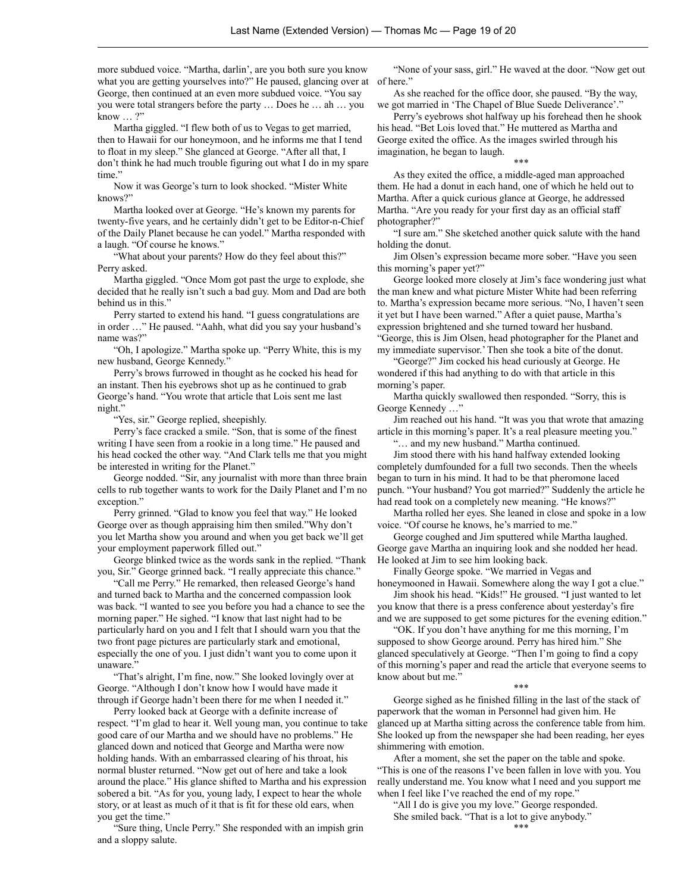more subdued voice. "Martha, darlin', are you both sure you know what you are getting yourselves into?" He paused, glancing over at George, then continued at an even more subdued voice. "You say you were total strangers before the party … Does he … ah … you know … ?"

Martha giggled. "I flew both of us to Vegas to get married, then to Hawaii for our honeymoon, and he informs me that I tend to float in my sleep." She glanced at George. "After all that, I don't think he had much trouble figuring out what I do in my spare time."

Now it was George's turn to look shocked. "Mister White knows?"

Martha looked over at George. "He's known my parents for twenty-five years, and he certainly didn't get to be Editor-n-Chief of the Daily Planet because he can yodel." Martha responded with a laugh. "Of course he knows."

"What about your parents? How do they feel about this?" Perry asked.

Martha giggled. "Once Mom got past the urge to explode, she decided that he really isn't such a bad guy. Mom and Dad are both behind us in this."

Perry started to extend his hand. "I guess congratulations are in order …" He paused. "Aahh, what did you say your husband's name was?"

"Oh, I apologize." Martha spoke up. "Perry White, this is my new husband, George Kennedy."

Perry's brows furrowed in thought as he cocked his head for an instant. Then his eyebrows shot up as he continued to grab George's hand. "You wrote that article that Lois sent me last night."

"Yes, sir." George replied, sheepishly.

Perry's face cracked a smile. "Son, that is some of the finest writing I have seen from a rookie in a long time." He paused and his head cocked the other way. "And Clark tells me that you might be interested in writing for the Planet."

George nodded. "Sir, any journalist with more than three brain cells to rub together wants to work for the Daily Planet and I'm no exception."

Perry grinned. "Glad to know you feel that way." He looked George over as though appraising him then smiled."Why don't you let Martha show you around and when you get back we'll get your employment paperwork filled out."

George blinked twice as the words sank in the replied. "Thank you, Sir." George grinned back. "I really appreciate this chance."

"Call me Perry." He remarked, then released George's hand and turned back to Martha and the concerned compassion look was back. "I wanted to see you before you had a chance to see the morning paper." He sighed. "I know that last night had to be particularly hard on you and I felt that I should warn you that the two front page pictures are particularly stark and emotional, especially the one of you. I just didn't want you to come upon it unaware.'

"That's alright, I'm fine, now." She looked lovingly over at George. "Although I don't know how I would have made it through if George hadn't been there for me when I needed it."

Perry looked back at George with a definite increase of respect. "I'm glad to hear it. Well young man, you continue to take good care of our Martha and we should have no problems." He glanced down and noticed that George and Martha were now holding hands. With an embarrassed clearing of his throat, his normal bluster returned. "Now get out of here and take a look around the place." His glance shifted to Martha and his expression sobered a bit. "As for you, young lady, I expect to hear the whole story, or at least as much of it that is fit for these old ears, when you get the time."

"Sure thing, Uncle Perry." She responded with an impish grin and a sloppy salute.

"None of your sass, girl." He waved at the door. "Now get out of here."

As she reached for the office door, she paused. "By the way, we got married in 'The Chapel of Blue Suede Deliverance'."

Perry's eyebrows shot halfway up his forehead then he shook his head. "Bet Lois loved that." He muttered as Martha and George exited the office. As the images swirled through his imagination, he began to laugh.

\*\*\*

As they exited the office, a middle-aged man approached them. He had a donut in each hand, one of which he held out to Martha. After a quick curious glance at George, he addressed Martha. "Are you ready for your first day as an official staff photographer?"

"I sure am." She sketched another quick salute with the hand holding the donut.

Jim Olsen's expression became more sober. "Have you seen this morning's paper yet?"

George looked more closely at Jim's face wondering just what the man knew and what picture Mister White had been referring to. Martha's expression became more serious. "No, I haven't seen it yet but I have been warned." After a quiet pause, Martha's expression brightened and she turned toward her husband. "George, this is Jim Olsen, head photographer for the Planet and my immediate supervisor.' Then she took a bite of the donut.

"George?" Jim cocked his head curiously at George. He wondered if this had anything to do with that article in this morning's paper.

Martha quickly swallowed then responded. "Sorry, this is George Kennedy …"

Jim reached out his hand. "It was you that wrote that amazing article in this morning's paper. It's a real pleasure meeting you."

"… and my new husband." Martha continued.

Jim stood there with his hand halfway extended looking completely dumfounded for a full two seconds. Then the wheels began to turn in his mind. It had to be that pheromone laced punch. "Your husband? You got married?" Suddenly the article he had read took on a completely new meaning. "He knows?"

Martha rolled her eyes. She leaned in close and spoke in a low voice. "Of course he knows, he's married to me."

George coughed and Jim sputtered while Martha laughed. George gave Martha an inquiring look and she nodded her head. He looked at Jim to see him looking back.

Finally George spoke. "We married in Vegas and

honeymooned in Hawaii. Somewhere along the way I got a clue." Jim shook his head. "Kids!" He groused. "I just wanted to let you know that there is a press conference about yesterday's fire and we are supposed to get some pictures for the evening edition."

"OK. If you don't have anything for me this morning, I'm supposed to show George around. Perry has hired him." She glanced speculatively at George. "Then I'm going to find a copy of this morning's paper and read the article that everyone seems to know about but me."

# \*\*\*

George sighed as he finished filling in the last of the stack of paperwork that the woman in Personnel had given him. He glanced up at Martha sitting across the conference table from him. She looked up from the newspaper she had been reading, her eyes shimmering with emotion.

After a moment, she set the paper on the table and spoke. "This is one of the reasons I've been fallen in love with you. You really understand me. You know what I need and you support me when I feel like I've reached the end of my rope."

"All I do is give you my love." George responded. She smiled back. "That is a lot to give anybody."

\*\*\*